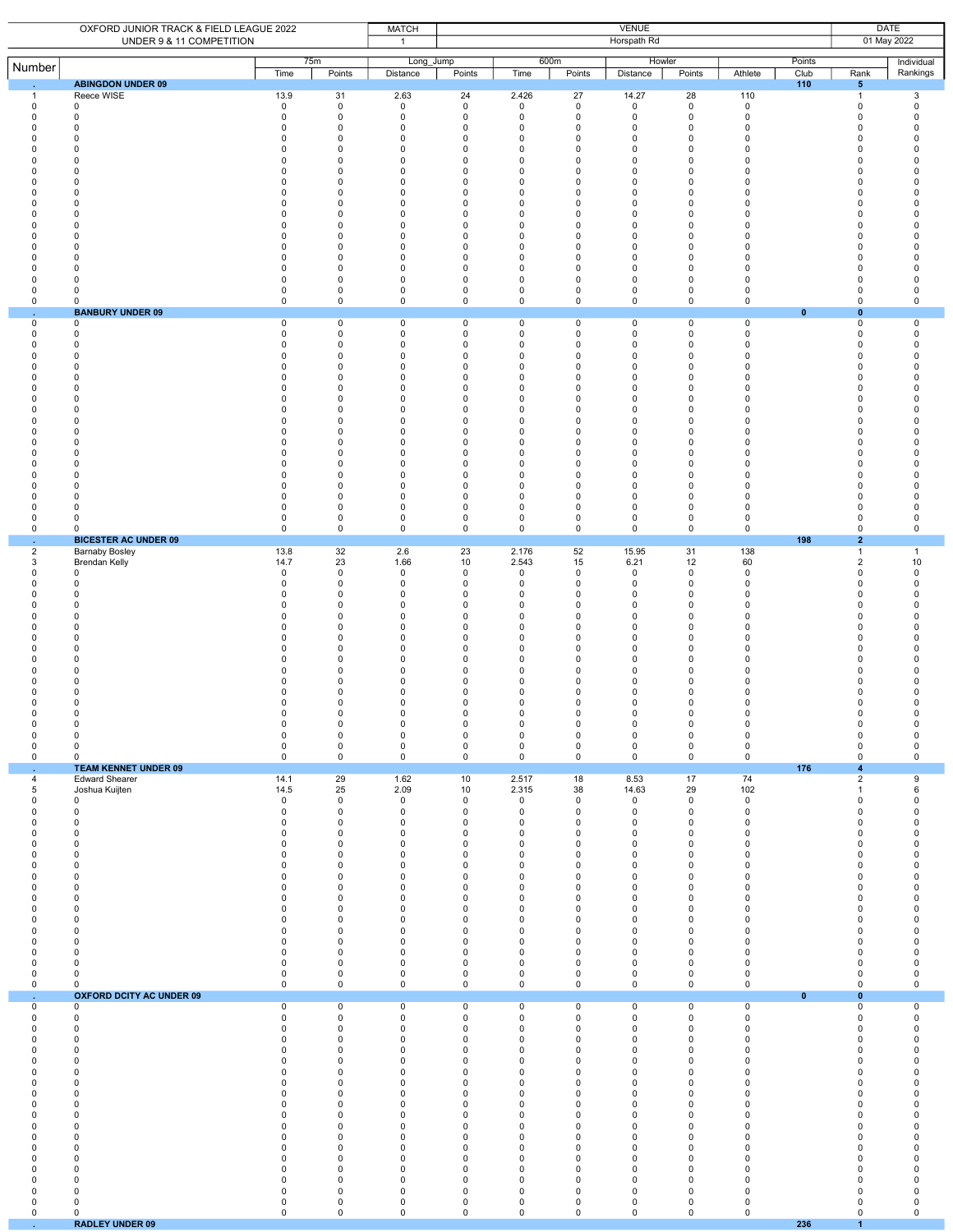|                             | OXFORD JUNIOR TRACK & FIELD LEAGUE 2022<br>UNDER 9 & 11 COMPETITION |                | <b>MATCH</b><br>$\mathbf{1}$ | <b>VENUE</b><br>Horspath Rd |                            |                            |                            |                    |                  |                            |                | <b>DATE</b><br>01 May 2022         |                        |  |
|-----------------------------|---------------------------------------------------------------------|----------------|------------------------------|-----------------------------|----------------------------|----------------------------|----------------------------|--------------------|------------------|----------------------------|----------------|------------------------------------|------------------------|--|
| Number                      |                                                                     | Time           | 75m<br>Points                | Long_Jump<br>Distance       | Points                     | 600m<br>Time               | Points                     | Howler<br>Distance | Points           | Athlete                    | Points<br>Club | Rank                               | Individual<br>Rankings |  |
| -1                          | <b>ABINGDON UNDER 09</b><br>Reece WISE                              | 13.9           | 31                           | 2.63                        | 24                         | 2.426                      | 27                         | 14.27              | 28               | 110                        | 110            | $5\phantom{.0}$<br>$\overline{1}$  | 3                      |  |
| $\mathsf 0$                 | $\mathbf 0$                                                         | $\mathsf 0$    | $\mathsf 0$                  | $\mathbf 0$                 | $\mathsf 0$                | $\mathbf 0$                | $\mathbf 0$                | $\mathbf 0$        | $\mathbf 0$      | $\mathbf 0$                |                | $\mathbf 0$                        | $\mathsf 0$            |  |
| 0                           | 0                                                                   | 0              | 0                            | 0                           | $\mathbf 0$                | $\mathbf 0$                | $\mathbf 0$                | 0                  | $\mathbf 0$      | $\mathbf 0$                |                | $\Omega$                           | $\mathbf 0$            |  |
| $\Omega$                    | 0                                                                   | $\mathbf 0$    | 0                            | 0                           | 0                          | 0                          | 0                          | 0                  | 0                | 0                          |                | $\mathbf 0$                        | $\Omega$               |  |
| $\Omega$                    | $\Omega$                                                            | $\mathbf 0$    | $\mathbf 0$                  | $\mathbf 0$                 | $\mathbf 0$                | $\mathbf 0$                | $\mathbf 0$                | 0                  | $\mathbf 0$      | 0                          |                | $\mathbf 0$                        | $\mathbf 0$            |  |
| $\Omega$                    | 0                                                                   | $\mathbf 0$    | 0                            | 0                           | $\mathbf 0$                | $\mathbf 0$                | $\mathbf 0$                | 0                  | $\mathbf 0$      | $\Omega$                   |                | $\Omega$                           | $\Omega$               |  |
| 0                           | 0                                                                   | 0              | $\mathbf 0$                  | $\mathsf 0$                 | 0                          | 0                          | 0                          | $\mathsf 0$        | 0                | 0                          |                | 0                                  | 0                      |  |
| $\Omega$                    | $\Omega$                                                            | $\Omega$       | $\mathbf 0$                  | $\mathbf 0$                 | $\mathbf 0$                | $\Omega$                   | $\mathbf 0$                | $\mathbf 0$        | $\Omega$         | $\Omega$                   |                | $\Omega$                           | $\mathbf 0$            |  |
| 0                           | 0                                                                   | $\mathbf 0$    | 0                            | 0                           | 0                          | 0                          | $\mathbf 0$                | 0                  | 0                | $\Omega$                   |                | 0                                  | $\Omega$               |  |
| $\mathbf 0$                 | 0                                                                   | $\mathbf 0$    | $\mathbf 0$                  | $\mathbf 0$                 | 0                          | 0                          | $\mathbf 0$                | $\pmb{0}$          | 0                | 0                          |                | 0                                  | $\Omega$               |  |
| $\Omega$                    | $\Omega$                                                            | $\Omega$       | $\mathbf 0$                  | 0                           | $\mathbf 0$                | $\Omega$                   | $\mathbf 0$                | 0                  | $\Omega$         | $\Omega$                   |                | $\mathbf 0$                        | $\mathbf 0$            |  |
| 0                           | 0                                                                   | $\mathbf 0$    | 0                            | 0                           | 0                          | $\mathbf 0$                | $\mathbf 0$                | 0                  | 0                | 0                          |                | 0                                  | 0                      |  |
| 0                           | 0                                                                   | 0              | $\mathbf 0$                  | $\mathsf 0$                 | 0                          | $\mathbf 0$                | $\pmb{0}$                  | $\pmb{0}$          | 0                | $\mathbf 0$                |                | 0                                  | 0                      |  |
| $\Omega$                    | 0                                                                   | $\Omega$       | $\mathbf 0$                  | 0                           | $\mathbf 0$                | $\mathbf 0$                | $\mathbf 0$                | 0                  | $\Omega$         | $\Omega$                   |                | $\Omega$                           | $\mathbf 0$            |  |
| 0                           | $\Omega$                                                            | $\mathbf 0$    | 0                            | 0                           | $\mathbf 0$                | $\mathbf 0$                | $\mathbf 0$                | $\pmb{0}$          | $\mathbf 0$      | $\Omega$                   |                | $\mathbf 0$                        | $\pmb{0}$              |  |
| 0                           | $\Omega$                                                            | $\mathbf 0$    | $\mathbf 0$                  | 0                           | $\mathbf 0$                | $\mathbf 0$                | $\mathbf 0$                | 0                  | $\mathbf 0$      | $\Omega$                   |                | 0                                  | $\mathbf 0$            |  |
| $\Omega$                    | 0                                                                   | $\Omega$       | $\mathbf 0$                  | 0                           | $\mathbf 0$                | $\mathbf 0$                | $\mathbf 0$                | 0                  | $\mathbf 0$      | $\Omega$                   |                | $\Omega$                           | $\mathbf 0$            |  |
| $\mathsf 0$                 | 0                                                                   | $\mathbf 0$    | $\pmb{0}$                    | $\mathbf 0$                 | 0                          | 0                          | 0                          | $\pmb{0}$          | 0                | $\mathsf 0$                |                | $\pmb{0}$                          | 0                      |  |
| $\mathsf 0$                 | 0                                                                   | 0              | $\pmb{0}$                    | 0                           | 0                          | 0                          | 0                          | $\pmb{0}$          | 0                | $\mathsf 0$                |                | 0                                  | $\mathsf 0$            |  |
| 0<br>÷.                     | 0<br><b>BANBURY UNDER 09</b>                                        | 0              | 0                            | 0                           | 0                          | 0                          | 0                          | 0                  | 0                | $\mathbf 0$                | $\mathbf{0}$   | $\mathbf 0$<br>$\pmb{0}$           | $\mathbf 0$            |  |
| $\mathsf 0$                 | $\mathbf 0$                                                         | $\mathsf 0$    | $\mathsf 0$                  | $\mathsf 0$                 | $\mathsf 0$                | $\mathbf 0$                | $\mathsf 0$                | $\mathbf 0$        | 0                | $\mathsf 0$                |                | $\mathsf 0$                        | $\overline{0}$         |  |
| $\mathbf 0$                 | 0                                                                   | 0              | 0                            | $\mathbf 0$                 | $\mathbf 0$                | $\mathbf 0$                | $\mathbf 0$                | 0                  | 0                | 0                          |                | $\Omega$                           | 0                      |  |
| 0                           | 0                                                                   | $\Omega$       | 0                            | 0                           | 0                          | 0                          | 0                          | 0                  | 0                | $\mathbf 0$                |                | $\Omega$                           | $\mathsf 0$            |  |
| 0                           | 0                                                                   | 0              | 0                            | 0                           | 0                          | $\mathbf 0$                | 0                          | $\mathsf 0$        | 0                | $\mathbf 0$                |                | $\mathbf 0$                        | 0                      |  |
| $\Omega$                    | $\Omega$                                                            | $\Omega$       | $\mathbf 0$                  | $\mathbf 0$                 | $\mathbf 0$                | $\mathbf 0$                | $\mathbf 0$                | $\mathbf 0$        | $\mathbf 0$      | $\mathbf 0$                |                | $\Omega$                           | $\mathbf 0$            |  |
| 0                           | 0                                                                   | $\mathbf 0$    | $\mathbf 0$                  | $\mathbf 0$                 | $\mathbf 0$                | $\mathbf 0$                | $\mathbf 0$                | $\pmb{0}$          | $\mathbf 0$      | $\Omega$                   |                | $\Omega$                           | $\mathbf 0$            |  |
| 0                           | $\Omega$                                                            | $\mathbf 0$    | $\Omega$                     | $\mathbf 0$                 | $\mathbf 0$                | $\mathbf 0$                | $\mathbf 0$                | 0                  | $\Omega$         | $\Omega$                   |                | $\mathbf 0$                        | $\Omega$               |  |
| $\Omega$                    | 0                                                                   | $\Omega$       | $\Omega$                     | 0                           | $\mathbf 0$                | $\mathbf 0$                | $\mathbf 0$                | 0                  | $\Omega$         | $\Omega$                   |                | $\Omega$                           | 0                      |  |
| 0                           | 0                                                                   | 0              | $\pmb{0}$                    | $\mathbf 0$                 | 0                          | $\mathbf 0$                | $\mathbf 0$                | $\pmb{0}$          | $\mathbf 0$      | 0                          |                | $\mathbf 0$                        | 0                      |  |
| 0                           | 0                                                                   | 0              | 0                            | $\mathbf 0$                 | 0                          | $\mathbf 0$                | 0                          | $\pmb{0}$          | $\mathbf 0$      | $\Omega$                   |                | 0                                  | 0                      |  |
| $\Omega$                    | 0                                                                   | 0              | 0                            | 0                           | 0                          | 0                          | 0                          | 0                  | 0                | $\Omega$                   |                | 0                                  | 0                      |  |
| 0                           | 0                                                                   | $\mathbf 0$    | $\mathbf 0$                  | $\mathbf 0$                 | $\mathbf 0$                | $\mathbf 0$                | $\mathbf 0$                | $\pmb{0}$          | $\mathbf 0$      | $\Omega$                   |                | $\overline{0}$                     | $\mathbf 0$            |  |
| $\Omega$                    | $\Omega$                                                            | $\mathbf 0$    | $\mathbf 0$                  | 0                           | $\mathbf 0$                | $\mathbf 0$                | $\mathbf 0$                | 0                  | $\Omega$         | $\Omega$                   |                | $\Omega$                           | $\Omega$               |  |
| $\Omega$                    | 0                                                                   | $\mathbf 0$    | 0                            | 0                           | 0                          | $\mathbf 0$                | $\mathbf 0$                | 0                  | $\Omega$         | $\mathbf 0$                |                | 0                                  | $\Omega$               |  |
| $\Omega$                    | 0                                                                   | $\Omega$       | $\mathbf 0$                  | $\mathbf 0$                 | $\mathbf 0$                | $\mathbf 0$                | $\mathbf 0$                | $\mathbf 0$        | $\mathbf 0$      | $\mathbf 0$                |                | $\mathbf 0$                        | $\pmb{0}$              |  |
| $\Omega$                    | 0                                                                   | $\mathbf 0$    | $\mathbf 0$                  | 0                           | $\mathbf 0$                | $\mathbf 0$                | $\mathbf 0$                | 0                  | $\mathbf 0$      | $\Omega$                   |                | $\mathbf 0$                        | 0                      |  |
| 0                           | 0                                                                   | $\mathbf 0$    | 0                            | 0                           | 0                          | 0                          | 0                          | 0                  | 0                | 0                          |                | 0                                  | 0                      |  |
| 0                           | $\Omega$                                                            | $\mathbf 0$    | $\mathbf 0$                  | $\mathbf 0$                 | $\mathbf 0$                | $\mathbf 0$                | $\mathbf 0$                | 0                  | 0                | $\mathbf 0$                |                | $\Omega$                           | $\mathbf 0$            |  |
| 0                           | $\Omega$                                                            | 0              | 0                            | 0                           | 0                          | 0                          | 0                          | 0                  | 0                | 0                          |                | $\mathbf 0$                        | $\mathsf 0$            |  |
| 0                           | 0                                                                   | $\mathsf 0$    | $\mathsf 0$                  | $\mathsf 0$                 | $\mathsf 0$                | $\mathbf 0$                | $\mathbf 0$                | 0                  | $\mathbf 0$      | $\mathbf 0$                |                | $\mathsf 0$                        | $\mathsf 0$            |  |
| $\sim$<br>$\overline{c}$    | <b>BICESTER AC UNDER 09</b><br><b>Barnaby Bosley</b>                | 13.8           | 32                           | 2.6                         | 23                         | 2.176                      | 52                         | 15.95              | 31               | 138                        | 198            | $\overline{2}$<br>$\overline{1}$   | $\overline{1}$         |  |
| 3                           | <b>Brendan Kelly</b>                                                | 14.7           | 23                           | 1.66                        | 10                         | 2.543                      | 15                         | 6.21               | 12               | 60                         |                | $\overline{2}$                     | 10                     |  |
| $\mathbf 0$                 | $^{\circ}$                                                          | $\mathsf 0$    | $\mathsf 0$                  | $\mathsf 0$                 | $\mathsf 0$                | $\mathbf 0$                | $\mathbf 0$                | 0                  | $\mathsf{O}$     | $\mathsf 0$                |                | $\mathbf 0$                        | $\mathsf 0$            |  |
| $\Omega$                    | $\Omega$                                                            | 0              | $\mathbf 0$                  | 0                           | $\mathbf 0$                | $\mathbf 0$                | $\mathbf 0$                | $\mathbf 0$        | 0                | $\mathbf 0$                |                | $\Omega$                           | $\mathbf 0$            |  |
| $\Omega$                    | 0                                                                   | 0              | 0                            | 0                           | 0                          | 0                          | 0                          | 0                  | $\Omega$         | $\mathbf 0$                |                | 0                                  | $\Omega$               |  |
| $\Omega$                    | $\Omega$                                                            | $\mathbf 0$    | $\mathbf 0$                  | $\mathbf 0$                 | $\mathbf 0$                | $\mathbf 0$                | $\mathbf 0$                | 0                  | $\mathbf 0$      | 0                          |                | $\mathbf 0$                        | $\mathbf 0$            |  |
| $\Omega$                    | $\Omega$                                                            | $\mathbf 0$    | $\mathbf 0$                  | 0                           | $\mathbf 0$                | $\mathbf 0$                | $\mathbf 0$                | 0                  | $\mathbf 0$      | $\Omega$                   |                | $\Omega$                           | 0                      |  |
| 0                           | 0                                                                   | 0              | 0                            | $\mathsf 0$                 | 0                          | 0                          | 0                          | $\mathsf 0$        | 0                | $\Omega$                   |                | 0                                  | 0                      |  |
| $\Omega$                    | $\Omega$                                                            | $\Omega$       | $\mathbf 0$                  | $\mathbf 0$                 | $\mathbf 0$                | $\Omega$                   | $\mathbf 0$                | $\mathbf 0$        | $\Omega$         | $\Omega$                   |                | $\Omega$                           | $\mathbf 0$            |  |
| 0                           | 0                                                                   | $\mathbf 0$    | 0                            | 0                           | 0                          | 0                          | $\mathbf 0$                | 0                  | 0                | $\Omega$                   |                | 0                                  | 0                      |  |
| $\Omega$                    | 0                                                                   | $\mathbf 0$    | $\pmb{0}$                    | $\mathbf 0$                 | 0                          | 0                          | $\mathbf 0$                | $\pmb{0}$          | $\mathbf 0$      | 0                          |                | 0                                  | 0                      |  |
| $\Omega$                    | $\Omega$                                                            | $\Omega$       | $\mathbf 0$                  | 0                           | $\mathbf 0$                | $\Omega$                   | $\mathbf 0$                | 0                  | 0                | 0                          |                | $\mathbf 0$                        | $\mathbf 0$            |  |
| 0                           | 0                                                                   | 0              | 0                            | 0                           | 0                          | $\mathbf 0$                | $\mathbf 0$                | 0                  | 0                | 0                          |                | 0                                  | 0                      |  |
| 0                           | 0                                                                   | $\mathbf 0$    | $\mathbf 0$                  | $\mathsf 0$                 | 0                          | $\mathbf 0$                | $\pmb{0}$                  | $\pmb{0}$          | 0                | 0                          |                | 0                                  | $\Omega$               |  |
| 0                           | 0                                                                   | $\Omega$       | $\mathbf 0$                  | 0                           | 0                          | $\mathbf 0$                | $\mathbf 0$                | 0                  | 0                | $\Omega$                   |                | $\mathbf 0$                        | 0                      |  |
| $\mathbf 0$                 | 0                                                                   | $\mathbf 0$    | $\mathbf 0$                  | 0                           | $\mathbf 0$                | $\mathbf 0$                | $\mathbf 0$                | 0                  | $\mathbf 0$      | $\mathbf 0$                |                | $\mathbf 0$                        | $\mathbf 0$            |  |
| $\Omega$                    | 0                                                                   | $\mathbf 0$    | $\mathbf 0$                  | 0                           | 0                          | 0                          | $\mathbf 0$                | 0                  | 0                | 0                          |                | 0                                  | 0                      |  |
| 0                           | 0                                                                   | $\Omega$       | $\mathbf 0$                  | 0                           | $\mathbf 0$                | $\mathbf 0$                | $\mathbf 0$                | $\mathbf 0$        | $\mathbf 0$      | 0                          |                | $\mathbf 0$                        | $\mathbf 0$            |  |
| $\mathsf 0$                 | $\mathbf 0$                                                         | $\mathsf 0$    | $\mathsf 0$                  | $\mathsf 0$                 | $\mathsf 0$                | $\mathbf 0$                | $\mathbf 0$                | 0                  | $\mathsf{O}$     | $\mathbf 0$                |                | $\Omega$                           | $\mathbf 0$            |  |
| 0                           | $\mathbf 0$                                                         | $\mathsf 0$    | $\mathsf 0$                  | $\mathsf 0$                 | $\mathsf 0$                | $\mathsf{O}\xspace$        | $\mathbf 0$                | $\mathsf 0$        | $\mathbf 0$      | $\mathsf 0$                |                | $\mathsf{O}\xspace$                | $\mathbf 0$            |  |
| ×.<br>4                     | <b>TEAM KENNET UNDER 09</b><br><b>Edward Shearer</b>                | 14.1           | 29                           | 1.62                        | 10                         | 2.517                      | 18                         | 8.53               | 17               | 74                         | 176            | $\boldsymbol{4}$<br>$\overline{2}$ | 9                      |  |
| 5                           | Joshua Kuijten                                                      | 14.5           | 25                           | 2.09                        | 10                         | 2.315                      | 38                         | 14.63              | 29               | 102                        |                | $\mathbf{1}$                       | 6                      |  |
| $\mathbf 0$                 | 0                                                                   | $\mathbf 0$    | 0                            | 0                           | 0                          | 0                          | $^{\circ}$                 | $\mathbf 0$        | $\mathbf 0$      | $\mathbf 0$                |                | $\Omega$                           | $\mathbf 0$            |  |
| $\mathsf 0$                 | $\mathbf 0$                                                         | $\mathsf 0$    | $\mathsf 0$                  | $\mathsf 0$                 | $\mathsf 0$                | $\mathbf 0$                | $\mathbf 0$                | $\mathbf 0$        | 0                | $\mathsf 0$                |                | $\mathbf 0$                        | $\mathsf 0$            |  |
| $\mathsf 0$                 | 0                                                                   | $\mathsf 0$    | $\pmb{0}$                    | $\mathsf 0$                 | 0                          | $\mathbf 0$                | 0                          | $\mathbf 0$        | 0                | $\mathsf 0$                |                | 0                                  | $\mathsf 0$            |  |
| $\mathbf 0$                 | $\Omega$                                                            | $\mathbf 0$    | $\mathbf 0$                  | $\mathbf 0$                 | $\mathbf 0$                | $\mathbf 0$                | $\mathbf 0$                | $\mathbf 0$        | 0                | $\mathbf 0$                |                | $\mathbf 0$                        | $\mathbf 0$            |  |
| $\mathsf 0$                 | 0                                                                   | $\pmb{0}$      | $\mathbf 0$                  | $\mathbf 0$                 | $\mathsf 0$                | $\mathbf 0$                | $\mathbf 0$                | $\pmb{0}$          | $\mathsf 0$      | 0                          |                | $\mathbf 0$                        | $\pmb{0}$              |  |
| $\mathbf 0$                 | $\Omega$                                                            | $\pmb{0}$      | $\mathbf 0$                  | $\mathbf 0$                 | $\mathbf 0$                | 0                          | $\mathbf 0$                | $\pmb{0}$          | $\mathbf 0$      | 0                          |                | $\mathbf 0$                        | $\pmb{0}$              |  |
| 0                           | $\Omega$                                                            | 0              | $\mathbf 0$                  | 0                           | $\mathbf 0$                | $\mathbf 0$                | $\mathbf 0$                | 0                  | $\mathbf 0$      | $\mathbf 0$                |                | $\mathbf 0$                        | $\mathbf 0$            |  |
| $\mathsf 0$                 | $\pmb{0}$                                                           | $\pmb{0}$      | $\mathbf 0$                  | $\mathbf 0$                 | 0                          | $\mathbf 0$                | $\mathbf 0$                | $\pmb{0}$          | 0                | $\mathsf 0$                |                | $\mathbf 0$                        | $\mathsf 0$            |  |
| $\pmb{0}$                   | 0                                                                   | 0              | $\mathsf 0$                  | $\mathbf 0$                 | 0                          | $\mathbf 0$                | $\pmb{0}$                  | $\pmb{0}$          | 0                | $\mathbf 0$                |                | 0                                  | $\mathsf 0$            |  |
| 0                           | 0                                                                   | 0              | 0                            | 0                           | 0                          | 0                          | 0                          | 0                  | 0                | 0                          |                | 0                                  | $\mathbf 0$            |  |
| $\mathsf 0$                 | $\mathbf 0$                                                         | $\pmb{0}$      | $\pmb{0}$                    | $\mathbf 0$                 | $\mathbf 0$                | $\mathbf 0$                | $\mathbf 0$                | $\pmb{0}$          | $\mathbf 0$      | 0                          |                | $\mathbf 0$                        | $\pmb{0}$              |  |
| 0                           | $\Omega$                                                            | 0              | 0                            | 0                           | $\mathbf 0$                | $\mathbf 0$                | $\mathbf 0$                | 0                  | $\mathbf 0$      | 0                          |                | $\mathbf 0$                        | $\mathbf 0$            |  |
| $\mathbf 0$                 | 0                                                                   | $\mathsf 0$    | 0                            | 0                           | 0                          | 0                          | $\mathbf 0$                | 0                  | 0                | 0                          |                | $\mathbf 0$                        | 0                      |  |
| $\mathbf 0$                 | $\pmb{0}$                                                           | $\mathbf 0$    | $\mathbf 0$                  | $\mathbf 0$                 | $\mathbf 0$                | $\mathbf 0$                | $\mathbf 0$                | $\mathbf 0$        | $\mathbf 0$      | $\mathbf 0$                |                | $\mathbf 0$                        | $\mathsf 0$            |  |
| 0                           | 0                                                                   | 0              | 0                            | 0                           | $\mathbf 0$                | $\mathbf 0$                | $\mathbf 0$                | $\mathbf 0$        | $\mathbf 0$      | $\mathbf 0$                |                | $\mathbf 0$                        | 0                      |  |
| $\mathsf 0$                 | 0                                                                   | 0              | 0                            | 0                           | 0                          | 0                          | 0                          | $\mathsf 0$        | 0                | 0                          |                | 0                                  | $\mathbf 0$            |  |
| $\mathbf 0$                 | $\mathbf 0$                                                         | $\mathbf 0$    | $\pmb{0}$                    | $\mathbf 0$                 | $\mathbf 0$                | $\mathbf 0$                | $\mathbf 0$                | $\mathbf 0$        | $\mathbf 0$      | $\mathbf 0$                |                | $\mathbf 0$                        | $\mathsf 0$            |  |
| $\mathsf 0$<br>$\epsilon$   | $\mathbf 0$<br><b>OXFORD DCITY AC UNDER 09</b>                      | $\mathbf 0$    | $\mathsf 0$                  | $\mathsf 0$                 | $\mathbf 0$                | $\mathbf 0$                | $\mathbf 0$                | $\mathbf 0$        | $\mathbf 0$      | $\mathsf{O}$               | $\mathbf{0}$   | $\mathsf 0$<br>$\bf{0}$            | $\mathsf 0$            |  |
| $\mathsf 0$                 | 0                                                                   | $\overline{0}$ | $\overline{0}$               | $\overline{0}$              | $\overline{0}$             | $\overline{0}$             | $\overline{0}$             | $\overline{0}$     | $\overline{0}$   | $\overline{0}$             |                | $\mathbf 0$                        | $\overline{0}$         |  |
| 0                           | 0                                                                   | 0              | 0                            | 0                           | 0                          | 0                          | 0                          | 0                  | 0                | 0                          |                | 0                                  | 0                      |  |
| $\mathsf 0$                 | 0                                                                   | $\mathbf 0$    | $\mathsf 0$                  | 0                           | 0                          | 0                          | 0                          | $\mathsf 0$        | 0                | $\mathsf 0$                |                | $\mathbf 0$                        | $\mathsf 0$            |  |
| $\mathsf 0$                 | $\mathsf 0$                                                         | $\pmb{0}$      | $\pmb{0}$                    | $\mathsf 0$                 | $\mathsf 0$                | $\mathbf 0$                | $\mathbf 0$                | $\mathsf 0$        | $\mathsf 0$      | $\mathsf 0$                |                | $\mathbf 0$                        | $\mathsf 0$            |  |
| 0                           | $\Omega$                                                            | 0              | $\mathbf 0$                  | 0                           | $\mathbf 0$                | $\mathbf 0$                | $\mathbf 0$                | 0                  | $\mathbf 0$      | 0                          |                | $\mathbf 0$                        | 0                      |  |
| $\mathbf 0$                 | $\Omega$                                                            | $\mathsf 0$    | $\mathbf 0$                  | 0                           | 0                          | 0                          | $\mathbf 0$                | 0                  | 0                | 0                          |                | $\mathbf 0$                        | 0                      |  |
| $\mathbf 0$                 | $\Omega$                                                            | $\mathbf 0$    | $\mathbf 0$                  | $\mathbf 0$                 | $\mathbf 0$                | $\mathbf 0$                | $\mathbf 0$                | 0                  | $\mathbf 0$      | $\mathbf 0$                |                | $\mathbf 0$                        | 0                      |  |
| 0                           | 0                                                                   | 0              | 0                            | 0                           | $\mathbf 0$                | $\mathbf 0$                | $\mathbf 0$                | 0                  | $\mathbf 0$      | 0                          |                | $\mathbf 0$                        | 0                      |  |
| $\mathsf 0$                 | 0                                                                   | $\pmb{0}$      | $\mathsf 0$                  | $\mathsf 0$                 | 0                          | $\mathbf 0$                | $\mathbf 0$                | $\mathbf 0$        | 0                | $\mathsf 0$                |                | 0                                  | $\mathsf 0$            |  |
| $\mathbf 0$                 | $\Omega$                                                            | $\mathbf 0$    | $\mathbf 0$                  | $\mathbf 0$                 | $\mathbf 0$                | $\mathbf 0$                | $\mathbf 0$                | $\mathbf 0$        | $\mathbf 0$      | $\mathbf 0$                |                | $\mathbf 0$                        | $\pmb{0}$              |  |
| 0                           | 0                                                                   | 0              | 0                            | 0                           | 0                          | 0                          | $\mathbf 0$                | 0                  | 0                | 0                          |                | 0                                  | $\pmb{0}$              |  |
| $\pmb{0}$                   | $\mathbf 0$                                                         | $\pmb{0}$      | $\pmb{0}$                    | $\pmb{0}$                   | 0                          | $\mathbf 0$                | $\pmb{0}$                  | $\pmb{0}$          | 0                | 0                          |                | $\pmb{0}$                          | 0                      |  |
| $\mathbf 0$                 | $\Omega$                                                            | $\mathbf 0$    | $\mathbf 0$                  | $\mathbf 0$                 | $\mathbf 0$                | $\mathbf 0$                | $\mathbf 0$                | $\mathbf 0$        | $\mathbf 0$      | $\mathbf 0$                |                | $\mathbf 0$                        | 0                      |  |
| 0                           | 0                                                                   | 0              | 0                            | 0                           | 0                          | 0                          | $\mathbf 0$                | 0                  | 0                | 0                          |                | 0                                  | 0                      |  |
| $\mathsf 0$                 | $\mathsf 0$                                                         | $\pmb{0}$      | $\mathsf 0$                  | $\mathsf 0$                 | 0                          | $\mathbf 0$                | $\mathbf 0$                | $\mathbf 0$        | $\mathsf 0$      | $\mathsf 0$                |                | $\pmb{0}$                          | $\mathsf 0$            |  |
| 0                           | $\Omega$                                                            | $\mathbf 0$    | $\mathbf 0$                  | 0                           | $\mathbf 0$                | $\mathbf 0$                | $\mathbf 0$                | $\mathbf 0$        | 0                | $\mathbf 0$                |                | $\mathbf 0$                        | $\mathbf 0$            |  |
| $\mathsf 0$                 | 0                                                                   | 0              | 0                            | $\pmb{0}$                   | $\mathbf 0$                | $\mathbf 0$                | $\mathbf 0$                | 0                  | 0                | $\mathsf 0$                |                | $\mathbf 0$                        | $\mathsf 0$            |  |
| $\mathsf 0$                 | 0                                                                   | 0              | 0                            | 0                           | $\mathbf 0$                | 0                          | $\mathbf 0$                | 0                  | 0                | 0                          |                | $\mathbf 0$                        | $\mathbf 0$            |  |
| $\mathbf 0$<br>$\mathsf 0$  | 0                                                                   | $\mathbf 0$    | $\mathbf 0$<br>$\mathsf 0$   | $\mathbf 0$<br>$\mathsf 0$  | $\mathbf 0$<br>$\mathsf 0$ | $\mathbf 0$<br>$\mathbf 0$ | $\mathbf 0$<br>$\mathbf 0$ | 0<br>0             | $\mathbf 0$<br>0 | $\mathbf 0$<br>$\mathsf 0$ |                | $\mathbf 0$<br>$\mathsf 0$         | $\mathbf 0$            |  |
| $\mathcal{L}^{\mathcal{A}}$ | 0<br><b>RADLEY UNDER 09</b>                                         | $\mathsf 0$    |                              |                             |                            |                            |                            |                    |                  |                            | 236            | $\mathbf{1}$                       | $\mathbf 0$            |  |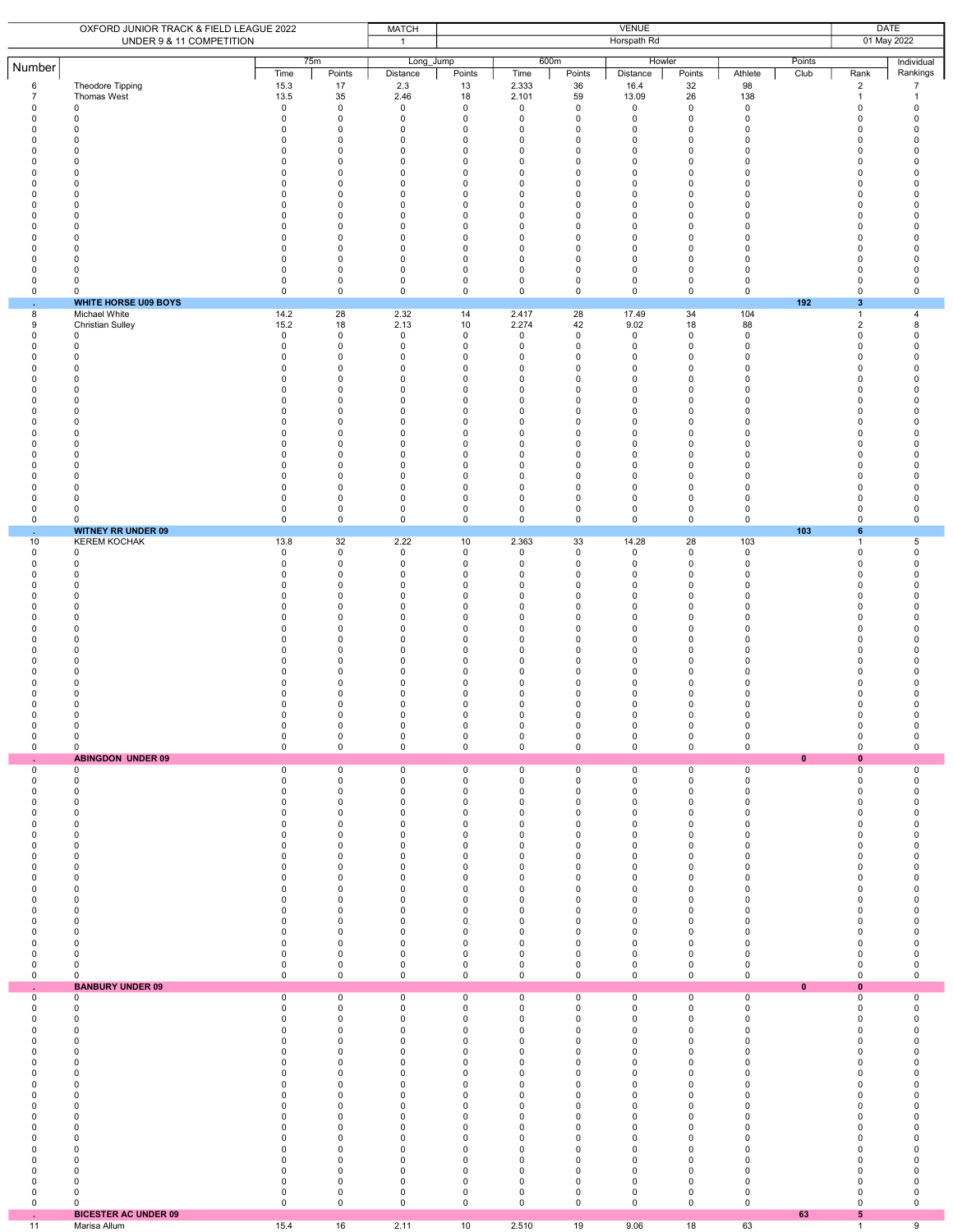|                                                                                                                                                                                                             | OXFORD JUNIOR TRACK & FIELD LEAGUE 2022<br>UNDER 9 & 11 COMPETITION                                                                                                                                                                                   |                                                                                                                                                                                                      | <b>VENUE</b><br><b>MATCH</b><br>Horspath Rd<br>$\mathbf{1}$                                                                                                                                                                              |                                                                                                                                                                                                |                                                                                                                                                                            |                                                                                                                                                                                                                                           |                                                                                                                                                                                                                                                       |                                                                                                                                                                                                         |                                                                                                                                                                                                                            |                                                                                                                                             | <b>DATE</b><br>01 May 2022 |                                                                                                                                                                                                                                                                                     |                                                                                                                                                         |
|-------------------------------------------------------------------------------------------------------------------------------------------------------------------------------------------------------------|-------------------------------------------------------------------------------------------------------------------------------------------------------------------------------------------------------------------------------------------------------|------------------------------------------------------------------------------------------------------------------------------------------------------------------------------------------------------|------------------------------------------------------------------------------------------------------------------------------------------------------------------------------------------------------------------------------------------|------------------------------------------------------------------------------------------------------------------------------------------------------------------------------------------------|----------------------------------------------------------------------------------------------------------------------------------------------------------------------------|-------------------------------------------------------------------------------------------------------------------------------------------------------------------------------------------------------------------------------------------|-------------------------------------------------------------------------------------------------------------------------------------------------------------------------------------------------------------------------------------------------------|---------------------------------------------------------------------------------------------------------------------------------------------------------------------------------------------------------|----------------------------------------------------------------------------------------------------------------------------------------------------------------------------------------------------------------------------|---------------------------------------------------------------------------------------------------------------------------------------------|----------------------------|-------------------------------------------------------------------------------------------------------------------------------------------------------------------------------------------------------------------------------------------------------------------------------------|---------------------------------------------------------------------------------------------------------------------------------------------------------|
| Number                                                                                                                                                                                                      |                                                                                                                                                                                                                                                       | Time                                                                                                                                                                                                 | 75m<br>Points                                                                                                                                                                                                                            | Long_Jump<br>Distance                                                                                                                                                                          | Points                                                                                                                                                                     | 600m<br>Time                                                                                                                                                                                                                              | Points                                                                                                                                                                                                                                                | Howler<br>Distance                                                                                                                                                                                      | Points                                                                                                                                                                                                                     | Athlete                                                                                                                                     | Points<br>Club             | Rank                                                                                                                                                                                                                                                                                | Individual<br>Rankings                                                                                                                                  |
| $\,6\,$<br>$\overline{7}$<br>$\pmb{0}$<br>$\Omega$<br>0<br>0<br>$\Omega$<br>$\Omega$<br>$\Omega$<br>$\Omega$<br>$\Omega$<br>0<br>$\Omega$<br>0<br>$\Omega$<br>0<br>$\Omega$<br>$\Omega$<br>0<br>0           | Theodore Tipping<br>Thomas West<br>$\mathbf 0$<br>$\mathbf 0$<br>0<br>0<br>$\Omega$<br>$\Omega$<br>$\Omega$<br>$\Omega$<br>0<br>$\mathbf 0$<br>$\Omega$<br>0<br>$\Omega$<br>$\Omega$<br>$\Omega$<br>$\Omega$<br>0<br>0<br><b>WHITE HORSE U09 BOYS</b> | 15.3<br>13.5<br>0<br>$\mathbf 0$<br>0<br>0<br>$\Omega$<br>$\mathbf 0$<br>0<br>$\Omega$<br>$\Omega$<br>0<br>$\mathbf 0$<br>$\mathbf 0$<br>$\mathbf 0$<br>0<br>0<br>0<br>0<br>$\mathsf 0$              | 17<br>35<br>0<br>$\mathbf 0$<br>0<br>0<br>$\mathbf 0$<br>0<br>$\mathbf 0$<br>$\mathbf 0$<br>0<br>0<br>$\mathbf 0$<br>0<br>$\mathbf 0$<br>0<br>0<br>0<br>0<br>$\mathsf 0$                                                                 | 2.3<br>2.46<br>$\mathsf 0$<br>$\mathbf 0$<br>0<br>0<br>$\mathbf 0$<br>0<br>$\mathbf 0$<br>$\mathbf 0$<br>0<br>0<br>$\mathbf 0$<br>0<br>$\mathbf 0$<br>0<br>0<br>0<br>0<br>$\mathsf 0$          | 13<br>18<br>$\mathsf 0$<br>$\mathbf 0$<br>0<br>$\mathsf 0$<br>0<br>0<br>0<br>0<br>0<br>0<br>0<br>$\mathbf 0$<br>0<br>0<br>$\pmb{0}$<br>0<br>0<br>$\mathbf 0$               | 2.333<br>2.101<br>0<br>$\mathbf 0$<br>0<br>$\pmb{0}$<br>$\mathbf 0$<br>$\mathbf 0$<br>0<br>$\mathbf 0$<br>0<br>$\mathbf 0$<br>$\mathbf 0$<br>$\mathbf 0$<br>$\mathbf 0$<br>0<br>$\mathbf 0$<br>$\mathbf 0$<br>0<br>$\mathbf 0$            | 36<br>59<br>$\mathbf 0$<br>$\mathbf 0$<br>0<br>$\mathbf 0$<br>$\mathbf 0$<br>$\mathbf 0$<br>$\mathbf 0$<br>$\mathbf 0$<br>0<br>0<br>$\mathbf 0$<br>$\pmb{0}$<br>$\mathbf 0$<br>0<br>$\mathbf 0$<br>$\mathbf 0$<br>0<br>$\mathbf 0$                    | 16.4<br>13.09<br>$\mathsf 0$<br>$\mathbf 0$<br>0<br>$\mathsf 0$<br>0<br>$\mathbf 0$<br>0<br>0<br>0<br>$\pmb{0}$<br>0<br>$\pmb{0}$<br>$\mathbf 0$<br>0<br>$\mathbf 0$<br>0<br>$\mathsf 0$<br>$\mathbf 0$ | 32<br>26<br>$\mathbf 0$<br>$\mathbf 0$<br>0<br>0<br>$\mathbf 0$<br>$\mathbf 0$<br>$\mathbf 0$<br>$\mathbf 0$<br>0<br>$\mathbf 0$<br>$\mathbf 0$<br>$\mathsf 0$<br>$\mathbf 0$<br>0<br>$\mathsf 0$<br>$\mathbf 0$<br>0<br>0 | 98<br>138<br>$\mathbf 0$<br>$\mathbf 0$<br>0<br>0<br>0<br>0<br>0<br>0<br>0<br>0<br>0<br>0<br>0<br>0<br>0<br>0<br>0<br>$\mathbf 0$           | 192                        | $\overline{2}$<br>$\mathbf{1}$<br>$\mathsf 0$<br>$\mathbf 0$<br>$\mathbf 0$<br>0<br>$\mathbf 0$<br>$\mathbf 0$<br>$\mathbf 0$<br>$\mathbf 0$<br>$\mathbf 0$<br>0<br>$\mathbf 0$<br>$\mathbf 0$<br>$\mathbf 0$<br>0<br>$\mathbf 0$<br>$\mathbf 0$<br>0<br>0<br>$\mathbf{3}$          | $\overline{7}$<br>$\mathbf{1}$<br>0<br>0<br>0<br>0<br>0<br>0<br>$\Omega$<br>0<br>0<br>0<br>0<br>0<br>0<br>0<br>0<br>0<br>0<br>$\mathbf 0$               |
| 8<br>9<br>0<br>$\Omega$<br>0<br>$\Omega$<br>$\Omega$<br>$\Omega$<br>$\Omega$<br>$\Omega$<br>$\Omega$<br>$\Omega$<br>0<br>$\Omega$<br>$\Omega$<br>0<br>$\Omega$<br>0<br>$\mathsf 0$<br>0                     | Michael White<br><b>Christian Sulley</b><br>0<br>0<br>$\Omega$<br>$\Omega$<br>$\Omega$<br>$\Omega$<br>0<br>$\Omega$<br>$\Omega$<br>$\Omega$<br>$\Omega$<br>$\Omega$<br>$\Omega$<br>0<br>$\Omega$<br>0<br>0<br>0<br><b>WITNEY RR UNDER 09</b>          | 14.2<br>15.2<br>$\mathsf 0$<br>0<br>$\mathbf 0$<br>$\mathbf 0$<br>$\mathbf 0$<br>0<br>$\Omega$<br>0<br>$\mathbf 0$<br>$\Omega$<br>0<br>$\mathbf 0$<br>$\Omega$<br>0<br>$\mathbf 0$<br>0<br>0<br>0    | 28<br>18<br>$\pmb{0}$<br>0<br>$\mathsf 0$<br>$\mathbf 0$<br>0<br>$\mathbf 0$<br>0<br>0<br>$\mathbf 0$<br>$\mathbf 0$<br>0<br>$\mathbf 0$<br>$\mathbf 0$<br>0<br>$\mathbf 0$<br>0<br>0<br>0                                               | 2.32<br>2.13<br>$\mathsf 0$<br>0<br>$\mathsf 0$<br>$\mathbf 0$<br>0<br>0<br>0<br>0<br>$\mathbf 0$<br>$\mathbf 0$<br>0<br>$\mathbf 0$<br>0<br>0<br>$\mathbf 0$<br>0<br>0<br>0                   | 14<br>10<br>$\mathsf 0$<br>0<br>$\mathbf 0$<br>0<br>0<br>$\mathbf 0$<br>0<br>0<br>$\Omega$<br>0<br>0<br>0<br>0<br>$\pmb{0}$<br>$\Omega$<br>0<br>$\mathsf 0$<br>$\mathbf 0$ | 2.417<br>2.274<br>0<br>0<br>$\pmb{0}$<br>$\mathbf 0$<br>0<br>$\mathbf 0$<br>$\mathbf 0$<br>0<br>$\mathbf 0$<br>$\mathbf 0$<br>0<br>$\mathbf 0$<br>$\mathbf 0$<br>$\pmb{0}$<br>$\Omega$<br>0<br>0<br>0                                     | 28<br>42<br>$\mathbf 0$<br>0<br>$\pmb{0}$<br>$\mathbf 0$<br>$\mathbf 0$<br>$\mathbf 0$<br>$\mathbf 0$<br>0<br>$\mathbf 0$<br>$\mathbf 0$<br>0<br>$\mathbf 0$<br>$\mathbf 0$<br>$\pmb{0}$<br>$\mathbf 0$<br>0<br>0<br>$\mathbf 0$                      | 17.49<br>9.02<br>$\mathsf 0$<br>0<br>$\mathsf 0$<br>0<br>0<br>$\mathbf 0$<br>0<br>$\pmb{0}$<br>$\mathbf 0$<br>0<br>$\pmb{0}$<br>$\mathbf 0$<br>0<br>$\mathsf 0$<br>$\mathbf 0$<br>0<br>$\mathsf 0$<br>0 | 34<br>18<br>$\mathbf 0$<br>0<br>$\mathsf 0$<br>$\mathbf 0$<br>0<br>$\mathbf 0$<br>$\mathbf 0$<br>0<br>$\mathbf 0$<br>0<br>0<br>0<br>$\mathbf 0$<br>$\mathsf 0$<br>$\Omega$<br>0<br>0<br>0                                  | 104<br>88<br>$\mathbf 0$<br>0<br>0<br>0<br>0<br>$\mathbf 0$<br>0<br>0<br>0<br>0<br>0<br>0<br>0<br>0<br>$\mathbf 0$<br>0<br>$\mathbf 0$<br>0 | 103                        | $\mathbf{1}$<br>$\overline{2}$<br>$\mathbf 0$<br>0<br>$\mathbf 0$<br>$\mathbf 0$<br>$\mathbf 0$<br>$\mathbf 0$<br>$\mathbf 0$<br>$\mathbf 0$<br>$\mathbf 0$<br>0<br>0<br>$\mathbf 0$<br>$\mathbf 0$<br>$\mathsf 0$<br>$\mathbf 0$<br>$\mathbf 0$<br>$\mathsf 0$<br>$\mathbf 0$<br>6 | $\overline{4}$<br>8<br>$\mathbf 0$<br>0<br>0<br>0<br>$\Omega$<br>0<br>0<br>0<br>0<br>0<br>0<br>0<br>0<br>0<br>0<br>0<br>0<br>0                          |
| 10<br>$\mathsf 0$<br>0<br>0<br>$\Omega$<br>$\Omega$<br>0<br>0<br>$\Omega$<br>$\Omega$<br>0<br>$\Omega$<br>$\Omega$<br>$\Omega$<br>0<br>0<br>$\Omega$<br>$\mathsf 0$<br>0<br>$\mathsf 0$<br>÷.               | <b>KEREM KOCHAK</b><br>0<br>$\mathbf 0$<br>0<br>$\Omega$<br>0<br>0<br>$\Omega$<br>$\Omega$<br><sup>0</sup><br>$\Omega$<br>$\Omega$<br>0<br>$\Omega$<br>0<br>$\mathbf 0$<br><sup>0</sup><br>0<br>0<br>0<br><b>ABINGDON UNDER 09</b>                    | 13.8<br>$\mathbf 0$<br>$\mathbf 0$<br>0<br>$\mathbf 0$<br>0<br>0<br>$\Omega$<br>$\mathbf 0$<br>0<br>$\Omega$<br>$\Omega$<br>0<br>$\Omega$<br>$\Omega$<br>$\Omega$<br>$\mathsf 0$<br>0<br>$\mathbf 0$ | 32<br>$\mathsf 0$<br>$\mathbf 0$<br>0<br>$\mathbf 0$<br>0<br>0<br>$\mathbf 0$<br>0<br>$\mathbf 0$<br>$\mathbf 0$<br>0<br>0<br>$\mathbf 0$<br>$\mathbf 0$<br>0<br>0<br>$\mathsf{O}\xspace$<br>0<br>0                                      | 2.22<br>$\mathsf 0$<br>0<br>0<br>$\mathbf 0$<br>0<br>$\mathsf 0$<br>$\mathbf 0$<br>0<br>$\mathbf 0$<br>$\mathbf 0$<br>0<br>0<br>$\mathbf 0$<br>0<br>0<br><sup>0</sup><br>$\mathsf 0$<br>0<br>0 | 10<br>$\mathbf 0$<br>$\mathbf 0$<br>0<br>$\Omega$<br>0<br>$\mathsf 0$<br>0<br>0<br>0<br>0<br>0<br>0<br>0<br>0<br>$\Omega$<br>$\Omega$<br>$\mathsf 0$<br>0<br>$\mathsf 0$   | 2.363<br>$\mathbf 0$<br>$\mathbf 0$<br>$\pmb{0}$<br>$\mathbf 0$<br>0<br>$\pmb{0}$<br>$\mathbf 0$<br>0<br>$\mathbf 0$<br>$\mathbf 0$<br>$\mathbf 0$<br>$\mathbf 0$<br>$\mathbf 0$<br>$\mathbf 0$<br>$\mathbf 0$<br>$\Omega$<br>0<br>0<br>0 | 33<br>$\mathbf 0$<br>$\mathbf 0$<br>0<br>$\mathbf 0$<br>0<br>$\mathbf 0$<br>$\mathbf 0$<br>$\mathbf 0$<br>$\mathbf 0$<br>$\mathbf 0$<br>$\mathbf 0$<br>0<br>$\mathbf 0$<br>$\mathbf 0$<br>$\Omega$<br><sup>0</sup><br>$\mathbf 0$<br>0<br>$\mathbf 0$ | 14.28<br>$\mathbf 0$<br>$\mathbf 0$<br>$\mathsf 0$<br>$\mathbf 0$<br>0<br>$\mathsf 0$<br>0<br>$\pmb{0}$<br>0<br>0<br>0<br>0<br>0<br>$\pmb{0}$<br>0<br>$\Omega$<br>$\mathsf 0$<br>0<br>$\mathsf 0$       | 28<br>$\mathbf 0$<br>$\mathbf 0$<br>$\pmb{0}$<br>$\mathbf 0$<br>0<br>0<br>0<br>0<br>0<br>0<br>0<br>0<br>0<br>0<br>$\Omega$<br>$\Omega$<br>$\mathsf 0$<br>0<br>$\mathbf 0$                                                  | 103<br>$\mathbf 0$<br>0<br>0<br>0<br>0<br>0<br>0<br>0<br>0<br>0<br>0<br>0<br>0<br>0<br>0<br>$\Omega$<br>0<br>0<br>$\mathbf 0$               | $\mathbf{0}$               | $\mathbf{1}$<br>$\pmb{0}$<br>$\mathbf 0$<br>0<br>$\mathbf 0$<br>0<br>0<br>$\Omega$<br>0<br>0<br>0<br>0<br>0<br>$\Omega$<br>0<br>$\Omega$<br>$\Omega$<br>$\mathbf 0$<br>0<br>$\mathbf 0$<br>$\mathbf{0}$                                                                             | 5<br>0<br>0<br>0<br>$\Omega$<br>0<br>0<br>0<br>0<br>$\Omega$<br>0<br>0<br>0<br>0<br>$\Omega$<br>$\Omega$<br>$\Omega$<br>$\mathbf 0$<br>0<br>$\mathbf 0$ |
| 0<br>0<br>0<br>0<br>0<br>0<br>0<br>0<br>0<br>0<br>0<br>$\Omega$<br>0<br>0<br>$\Omega$<br>$\Omega$<br>0<br>$\Omega$<br>0<br>$\mathsf 0$<br>ä,                                                                | 0<br>0<br>0<br>0<br>0<br>$\mathbf 0$<br>$\Omega$<br>$\Omega$<br>0<br>$\mathbf 0$<br>0<br>$\Omega$<br>$\Omega$<br>0<br>$\Omega$<br>$\mathbf 0$<br>0<br>$\Omega$<br>0<br>0<br><b>BANBURY UNDER 09</b>                                                   | $\mathsf 0$<br>$\mathbf 0$<br>$\mathbf 0$<br>0<br>0<br>$\mathbf 0$<br>0<br>0<br>0<br>0<br>0<br>$\mathbf 0$<br>0<br>0<br>0<br>0<br>0<br>$\mathbf 0$<br>0<br>$\pmb{0}$                                 | $\mathsf{O}\xspace$<br>$\mathbf 0$<br>$\mathsf 0$<br>0<br>0<br>$\mathbf 0$<br>$\mathbf 0$<br>0<br>$\mathbf 0$<br>0<br>0<br>$\mathbf 0$<br>$\mathbf 0$<br>0<br>$\mathbf 0$<br>$\mathbf 0$<br>0<br>$\mathbf 0$<br>0<br>$\mathsf{O}\xspace$ | $\mathsf 0$<br>$\mathbf 0$<br>$\mathsf 0$<br>0<br>0<br>0<br>$\mathbf 0$<br>0<br>0<br>0<br>0<br>$\mathbf 0$<br>$\mathbf 0$<br>0<br>$\mathbf 0$<br>0<br>0<br>$\mathbf 0$<br>0<br>$\mathsf 0$     | $\mathsf 0$<br>$\mathbf 0$<br>$\mathsf 0$<br>$\mathsf 0$<br>0<br>$\pmb{0}$<br>0<br>0<br>0<br>0<br>0<br>0<br>0<br>0<br>$\Omega$<br>0<br>0<br>0<br>0<br>0                    | 0<br>0<br>0<br>$\pmb{0}$<br>0<br>$\pmb{0}$<br>$\mathbf 0$<br>0<br>$\mathbf 0$<br>$\mathbf 0$<br>0<br>$\mathbf 0$<br>$\mathbf 0$<br>0<br>$\mathbf 0$<br>$\mathbf 0$<br>0<br>$\mathbf 0$<br>0<br>0                                          | $\mathsf 0$<br>$\mathbf 0$<br>$\mathbf 0$<br>0<br>0<br>$\pmb{0}$<br>$\mathbf 0$<br>0<br>0<br>$\mathbf 0$<br>0<br>$\mathbf 0$<br>$\mathbf 0$<br>0<br>$\mathbf 0$<br>$\mathbf 0$<br>0<br>$\mathbf 0$<br>0<br>$\mathbf 0$                                | $\mathsf 0$<br>$\mathbf 0$<br>$\mathbf 0$<br>$\mathbf 0$<br>0<br>$\pmb{0}$<br>0<br>0<br>$\mathbf 0$<br>0<br>0<br>0<br>0<br>0<br>$\Omega$<br>0<br>$\mathsf 0$<br>$\mathbf 0$<br>0<br>$\mathsf 0$         | $\mathsf 0$<br>0<br>0<br>0<br>0<br>$\mathsf 0$<br>0<br>0<br>$\mathsf 0$<br>0<br>0<br>0<br>0<br>0<br>$\mathbf 0$<br>$\mathbf 0$<br>0<br>$\mathbf 0$<br>0<br>0                                                               | $\mathbf 0$<br>$^{\circ}$<br>0<br>0<br>0<br>0<br>0<br>0<br>0<br>0<br>0<br>0<br>0<br>0<br>0<br>0<br>0<br>$\mathbf 0$<br>0<br>$\mathbf 0$     | $\pmb{0}$                  | 0<br>0<br>0<br>0<br>0<br>0<br>0<br>0<br>0<br>0<br>0<br>0<br>0<br>0<br>$\Omega$<br>$\mathbf 0$<br>0<br>$\mathbf 0$<br>$\mathbf 0$<br>0<br>$\mathbf{0}$                                                                                                                               | $\mathsf 0$<br>0<br>0<br>0<br>0<br>0<br>0<br>$\Omega$<br>0<br>0<br>0<br>0<br>0<br>0<br>0<br>0<br>0<br>0<br>0<br>0                                       |
| 0<br>$\mathbf 0$<br>0<br>$\Omega$<br>0<br>$\Omega$<br>0<br>0<br>$\Omega$<br>$\mathbf 0$<br>$\mathbf 0$<br>$\Omega$<br>0<br>0<br>$\Omega$<br>$\mathbf 0$<br>$\mathbf 0$<br>0<br>$\mathsf 0$<br>0<br>ä,<br>11 | 0<br>0<br>$\Omega$<br>$\mathbf 0$<br>0<br>$\Omega$<br>0<br>0<br>0<br>0<br>0<br>$\Omega$<br>0<br>0<br>0<br>0<br>0<br>0<br>0<br>0<br><b>BICESTER AC UNDER 09</b><br>Marisa Allum                                                                        | 0<br>0<br>$\mathbf 0$<br>0<br>0<br>0<br>0<br>0<br>0<br>0<br>0<br>0<br>$\Omega$<br>0<br>$\mathbf 0$<br>$\mathbf 0$<br>0<br>0<br>0<br>0<br>15.4                                                        | 0<br>0<br>$\mathbf 0$<br>$\mathbf 0$<br>0<br>$\mathbf 0$<br>0<br>0<br>$\mathbf 0$<br>0<br>0<br>$\mathbf 0$<br>0<br>0<br>$\mathbf 0$<br>$\mathbf 0$<br>$\mathbf 0$<br>0<br>0<br>0<br>16                                                   | 0<br>0<br>$\mathbf 0$<br>$\mathbf 0$<br>0<br>$\mathbf 0$<br>0<br>0<br>$\mathbf 0$<br>0<br>0<br>0<br>0<br>0<br>$\mathbf 0$<br>0<br>$\mathbf 0$<br>0<br>0<br>0<br>2.11                           | 0<br>0<br>$\mathbf 0$<br>0<br>0<br>$\Omega$<br>0<br>$\mathsf 0$<br>0<br>0<br>0<br>0<br>0<br>0<br>0<br>0<br>0<br>0<br>0<br>0<br>10                                          | 0<br>0<br>$\mathbf 0$<br>$\mathbf 0$<br>0<br>$\mathbf 0$<br>0<br>0<br>$\mathbf 0$<br>0<br>$\mathbf 0$<br>$\mathbf 0$<br>$\mathbf 0$<br>0<br>0<br>$\pmb{0}$<br>0<br>0<br>$\pmb{0}$<br>0<br>2.510                                           | 0<br>0<br>$\mathbf 0$<br>$\mathbf 0$<br>0<br>$\mathbf 0$<br>0<br>0<br>$\mathbf 0$<br>0<br>$\mathbf 0$<br>$\mathbf 0$<br>0<br>0<br>$\mathbf 0$<br>0<br>$\mathbf 0$<br>0<br>0<br>$\mathbf 0$<br>19                                                      | 0<br>$\mathsf 0$<br>$\mathbf 0$<br>0<br>0<br>$\Omega$<br>0<br>$\mathsf 0$<br>0<br>0<br>0<br>0<br>0<br>0<br>0<br>$\pmb{0}$<br>0<br>0<br>$\pmb{0}$<br>0<br>9.06                                           | 0<br>0<br>$\mathbf 0$<br>$\mathbf 0$<br>0<br>0<br>0<br>0<br>0<br>0<br>0<br>0<br>0<br>0<br>0<br>0<br>0<br>0<br>0<br>0<br>18                                                                                                 | 0<br>0<br>$\mathbf 0$<br>0<br>0<br>0<br>0<br>0<br>0<br>0<br>0<br>0<br>0<br>0<br>0<br>0<br>0<br>0<br>0<br>0<br>63                            | 63                         | 0<br>0<br>$\Omega$<br>$\mathbf 0$<br>0<br>$\Omega$<br>0<br>0<br>0<br>0<br>0<br>0<br>0<br>0<br>0<br>0<br>0<br>0<br>0<br>0<br>5<br>$\mathbf{1}$                                                                                                                                       | 0<br>0<br>0<br>0<br>0<br>0<br>0<br>0<br>0<br>0<br>0<br>$\Omega$<br>0<br>0<br>0<br>0<br>0<br>0<br>0<br>0<br>$\boldsymbol{9}$                             |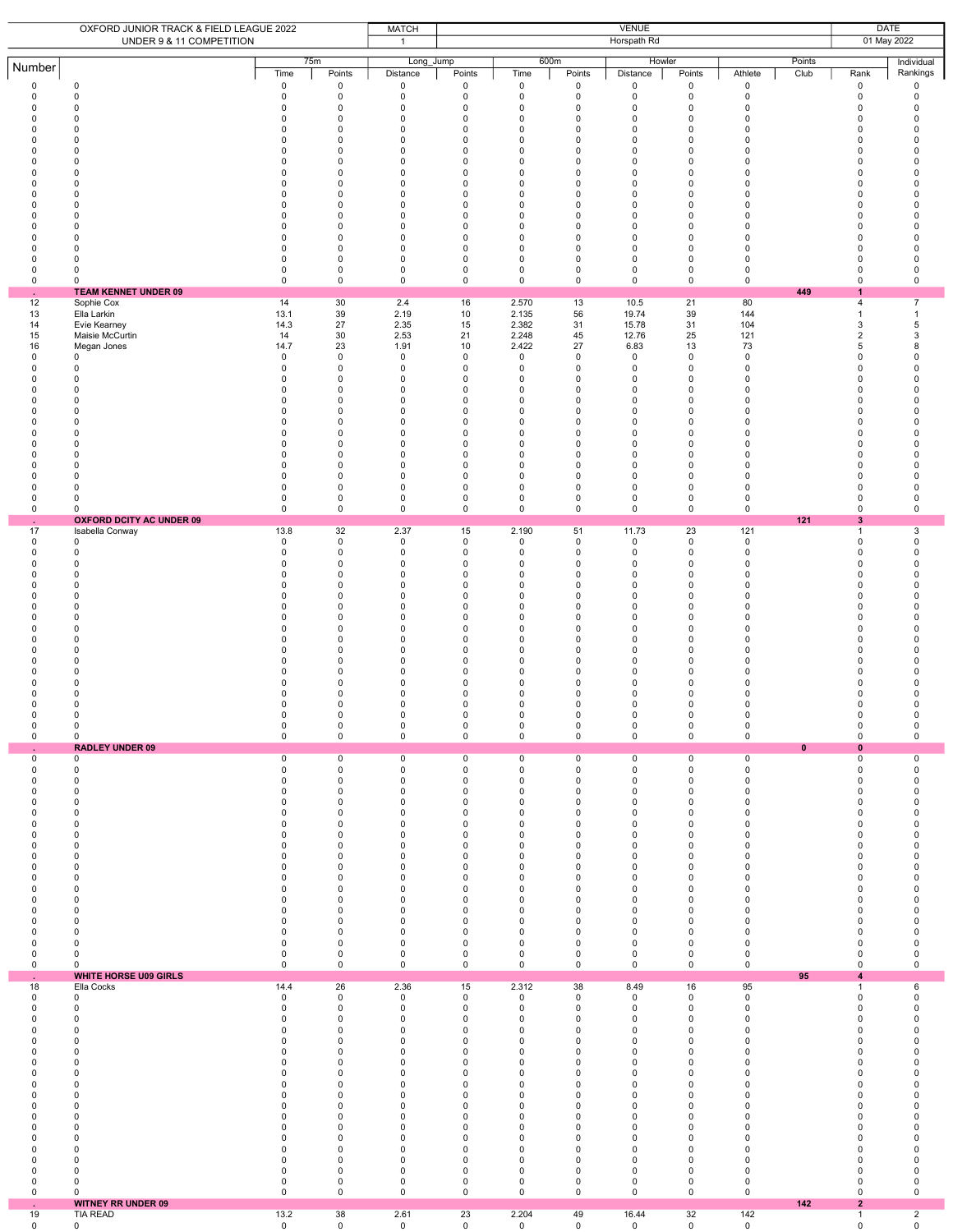|                                                                                                                               | OXFORD JUNIOR TRACK & FIELD LEAGUE 2022<br>UNDER 9 & 11 COMPETITION                                                                                                                                                                                                                                               | <b>VENUE</b><br><b>MATCH</b><br>Horspath Rd<br>$\mathbf{1}$                                                                                                                               |                                                                                                                                                                                                                               |                                                                                                                                                                                            |                                                                                                                                                                                                  |                                                                                                                                                                                                                   |                                                                                                                                                                                                                 |                                                                                                                                                                                                                                       |                                                                                                                                           | <b>DATE</b><br>01 May 2022                                                                                                                                                                                                                                            |                |                                                                                                                                                                                                                                         |                                                                                                                                      |
|-------------------------------------------------------------------------------------------------------------------------------|-------------------------------------------------------------------------------------------------------------------------------------------------------------------------------------------------------------------------------------------------------------------------------------------------------------------|-------------------------------------------------------------------------------------------------------------------------------------------------------------------------------------------|-------------------------------------------------------------------------------------------------------------------------------------------------------------------------------------------------------------------------------|--------------------------------------------------------------------------------------------------------------------------------------------------------------------------------------------|--------------------------------------------------------------------------------------------------------------------------------------------------------------------------------------------------|-------------------------------------------------------------------------------------------------------------------------------------------------------------------------------------------------------------------|-----------------------------------------------------------------------------------------------------------------------------------------------------------------------------------------------------------------|---------------------------------------------------------------------------------------------------------------------------------------------------------------------------------------------------------------------------------------|-------------------------------------------------------------------------------------------------------------------------------------------|-----------------------------------------------------------------------------------------------------------------------------------------------------------------------------------------------------------------------------------------------------------------------|----------------|-----------------------------------------------------------------------------------------------------------------------------------------------------------------------------------------------------------------------------------------|--------------------------------------------------------------------------------------------------------------------------------------|
| Number                                                                                                                        |                                                                                                                                                                                                                                                                                                                   | Time                                                                                                                                                                                      | 75m<br>Points                                                                                                                                                                                                                 | Long Jump<br>Distance                                                                                                                                                                      | Points                                                                                                                                                                                           | 600m<br>Time                                                                                                                                                                                                      | Points                                                                                                                                                                                                          | Howler<br>Distance                                                                                                                                                                                                                    | Points                                                                                                                                    | Athlete                                                                                                                                                                                                                                                               | Points<br>Club | Rank                                                                                                                                                                                                                                    | Individual<br>Rankings                                                                                                               |
| 0<br>0<br>0<br>0<br>0<br>0<br>0<br>$\mathbf 0$<br>0<br>0<br>0<br>0<br>0<br>0<br>0<br>0<br>0<br>0<br>$\mathsf 0$               | 0<br>0<br>$\mathbf 0$<br>0<br>0<br>$\Omega$<br>$\Omega$<br>0<br>$\Omega$<br>$\Omega$<br>0<br>$\Omega$<br>$\Omega$<br>$\Omega$<br>$\Omega$<br>$\mathbf 0$<br>$\mathbf 0$<br>0<br>0                                                                                                                                 | 0<br>$\mathsf 0$<br>0<br>0<br>0<br>0<br>0<br>0<br>0<br>0<br>0<br>0<br>$\mathbf 0$<br>0<br>0<br>0<br>0<br>$\pmb{0}$<br>$\mathsf 0$                                                         | $\mathbf 0$<br>$\mathbf 0$<br>$\mathbf 0$<br>0<br>0<br>$\mathbf 0$<br>$\mathbf 0$<br>$\mathbf 0$<br>0<br>$\mathbf 0$<br>$\mathbf 0$<br>0<br>$\mathbf 0$<br>0<br>0<br>$\mathbf 0$<br>$\mathbf 0$<br>$\mathbf 0$<br>$\mathbf 0$ | 0<br>0<br>$\mathbf 0$<br>0<br>0<br>$\mathbf 0$<br>$\mathsf 0$<br>$\mathbf 0$<br>0<br>$\mathbf 0$<br>0<br>0<br>$\mathsf 0$<br>0<br>0<br>$\mathbf 0$<br>$\mathbf 0$<br>0<br>$\mathsf 0$      | $\mathsf 0$<br>0<br>$\mathbf 0$<br>0<br>0<br>$\mathbf 0$<br>0<br>$\mathbf 0$<br>0<br>0<br>0<br>0<br>$\mathbf 0$<br>$\mathbf 0$<br>0<br>$\mathbf 0$<br>$\mathbf 0$<br>0<br>$\mathsf 0$            | $\mathsf 0$<br>$\pmb{0}$<br>$\mathbf 0$<br>0<br>0<br>$\mathbf 0$<br>$\mathbf 0$<br>$\mathbf 0$<br>0<br>$\mathbf 0$<br>0<br>0<br>$\mathbf 0$<br>$\mathbf 0$<br>0<br>$\mathbf 0$<br>$\mathbf 0$<br>0<br>$\mathsf 0$ | $\mathsf 0$<br>0<br>$\mathbf 0$<br>0<br>0<br>$\mathbf 0$<br>0<br>$\mathbf 0$<br>0<br>$\mathbf 0$<br>0<br>0<br>$\mathbf 0$<br>$\Omega$<br>0<br>$\mathbf 0$<br>$\mathbf 0$<br>0<br>$\mathsf 0$                    | $\mathbf 0$<br>$\mathsf 0$<br>0<br>0<br>0<br>0<br>$\pmb{0}$<br>0<br>0<br>$\mathbf 0$<br>0<br>0<br>$\mathbf 0$<br>0<br>0<br>0<br>0<br>$\mathsf 0$<br>$\mathbf 0$                                                                       | 0<br>0<br>0<br>$\pmb{0}$<br>0<br>0<br>$\mathbf 0$<br>0<br>0<br>$\mathbf 0$<br>0<br>0<br>$\mathbf 0$<br>0<br>0<br>$\Omega$<br>0<br>0<br>0  | $\mathsf 0$<br>$\mathsf 0$<br>$\mathbf 0$<br>$\mathbf 0$<br>$\mathbf 0$<br>$\mathbf 0$<br>$\mathbf 0$<br>$\mathbf 0$<br>0<br>$\mathbf 0$<br>$\mathbf 0$<br>0<br>$\mathbf 0$<br>$\mathbf 0$<br>$\mathbf 0$<br>$\mathbf 0$<br>$\mathbf 0$<br>$\mathsf 0$<br>$\mathsf 0$ |                | $\mathsf 0$<br>$\mathbf 0$<br>0<br>0<br>$\mathbf 0$<br>$\mathbf 0$<br>$\mathbf 0$<br>$\mathbf 0$<br>0<br>$\mathbf 0$<br>$\mathbf 0$<br>0<br>$\mathbf 0$<br>$\mathbf 0$<br>$\mathbf 0$<br>$\mathbf 0$<br>$\mathbf 0$<br>0<br>$\mathsf 0$ | 0<br>0<br>0<br>0<br>0<br>0<br>0<br>$\Omega$<br>$\Omega$<br>0<br>0<br>0<br>$\mathbf 0$<br>0<br>$\Omega$<br>0<br>0<br>0<br>$\mathbf 0$ |
| ×.<br>12<br>13<br>14<br>15<br>16<br>0<br>0<br>0<br>$\Omega$<br>0<br>0<br>0<br>0<br>0<br>0<br>0<br>0<br>0<br>0<br>0            | <b>TEAM KENNET UNDER 09</b><br>Sophie Cox<br>Ella Larkin<br>Evie Kearney<br>Maisie McCurtin<br>Megan Jones<br>$\mathbf 0$<br>0<br>$\mathbf 0$<br>$\mathbf 0$<br>0<br>$\Omega$<br>$\Omega$<br>$\Omega$<br>$\Omega$<br>$\mathbf 0$<br>$\Omega$<br>$\Omega$<br>$\Omega$<br>0<br>0<br><b>OXFORD DCITY AC UNDER 09</b> | 14<br>13.1<br>14.3<br>14<br>14.7<br>$\mathbf 0$<br>$\pmb{0}$<br>0<br>0<br>$\pmb{0}$<br>$\Omega$<br>0<br>$\pmb{0}$<br>0<br>0<br>$\pmb{0}$<br>0<br>0<br>0<br>0                              | 30<br>39<br>27<br>30<br>23<br>$\mathbf 0$<br>$\mathbf 0$<br>$\mathbf 0$<br>$\mathbf 0$<br>0<br>$\Omega$<br>0<br>$\pmb{0}$<br>$\mathbf 0$<br>0<br>$\mathbf 0$<br>$\mathbf 0$<br>$\mathbf 0$<br>0<br>0                          | 2.4<br>2.19<br>2.35<br>2.53<br>1.91<br>0<br>0<br>$\mathbf 0$<br>0<br>0<br>$\mathbf 0$<br>0<br>0<br>0<br>0<br>$\mathsf 0$<br>$\mathbf 0$<br>0<br>0<br>0                                     | 16<br>10<br>15<br>21<br>10<br>$\mathbf 0$<br>0<br>$\mathbf 0$<br>$\mathbf 0$<br>0<br>$\mathbf 0$<br>0<br>0<br>$\mathbf 0$<br>0<br>0<br>$\mathbf 0$<br>0<br>0<br>0                                | 2.570<br>2.135<br>2.382<br>2.248<br>2.422<br>$\mathbf 0$<br>0<br>$\mathbf 0$<br>$\mathbf 0$<br>0<br>$\mathbf 0$<br>0<br>0<br>$\mathbf 0$<br>0<br>0<br>$\mathbf 0$<br>0<br>0<br>0                                  | 13<br>56<br>31<br>45<br>27<br>$\mathbf 0$<br>0<br>$\mathbf 0$<br>$\mathbf 0$<br>0<br>$\mathbf 0$<br>0<br>$\mathbf 0$<br>0<br>0<br>0<br>$\mathbf 0$<br>0<br>0<br>0                                               | 10.5<br>19.74<br>15.78<br>12.76<br>6.83<br>$\mathbf 0$<br>0<br>$\mathbf 0$<br>0<br>$\mathsf 0$<br>$\mathbf 0$<br>0<br>$\mathsf 0$<br>0<br>0<br>$\mathsf 0$<br>0<br>0<br>0<br>0                                                        | 21<br>39<br>31<br>25<br>13<br>0<br>0<br>0<br>0<br>0<br>$\Omega$<br>0<br>0<br>0<br>0<br>0<br>0<br>0<br>0<br>0                              | 80<br>144<br>104<br>121<br>73<br>$\mathbf 0$<br>0<br>$\mathbf 0$<br>$\mathbf 0$<br>0<br>$\Omega$<br>$\mathbf 0$<br>$\pmb{0}$<br>$\mathbf 0$<br>$\mathbf 0$<br>$\pmb{0}$<br>$\mathbf 0$<br>0<br>0<br>0                                                                 | 449<br>121     | 4<br>4<br>$\mathbf{1}$<br>3<br>2<br>5<br>$\mathbf 0$<br>0<br>$\Omega$<br>$\mathbf 0$<br>0<br>$\Omega$<br>0<br>0<br>0<br>0<br>0<br>$\mathbf 0$<br>$\mathbf 0$<br>0<br>0<br>3                                                             | $\overline{7}$<br>$\mathbf{1}$<br>5<br>3<br>8<br>0<br>0<br>0<br>0<br>0<br>$\Omega$<br>0<br>0<br>0<br>0<br>0<br>0<br>0<br>0<br>0      |
| $\mathbb{Z}^2$<br>17<br>0<br>0<br>0<br>0<br>0<br>0<br>0<br>0<br>0<br>0<br>0<br>0<br>0<br>0<br>0<br>0<br>0<br>0<br>$\mathbf 0$ | Isabella Conway<br>$\mathbf 0$<br>0<br>$\Omega$<br>$\Omega$<br>$\mathbf 0$<br>0<br>$\Omega$<br>$\Omega$<br>0<br>$\Omega$<br>$\Omega$<br>0<br>$\Omega$<br>$\Omega$<br>0<br>0<br>$\Omega$<br>0<br>0                                                                                                                 | 13.8<br>$\mathbf 0$<br>0<br>$\pmb{0}$<br>0<br>0<br>0<br>0<br>0<br>0<br>0<br>0<br>0<br>0<br>$\Omega$<br>0<br>$\mathbf 0$<br>$\Omega$<br>$\mathsf 0$<br>$\mathsf 0$                         | 32<br>$^{\circ}$<br>$\mathbf 0$<br>$\mathbf 0$<br>$\mathbf 0$<br>0<br>0<br>$\mathbf 0$<br>$\mathbf 0$<br>$\mathbf 0$<br>0<br>$\mathbf 0$<br>$\mathbf 0$<br>0<br>$\Omega$<br>0<br>0<br>$\Omega$<br>$\mathbf 0$<br>$\mathsf 0$  | 2.37<br>0<br>$\mathsf 0$<br>0<br>$\mathbf 0$<br>0<br>0<br>$\mathbf 0$<br>$\mathsf 0$<br>$\mathbf 0$<br>0<br>$\pmb{0}$<br>0<br>0<br>0<br>0<br>0<br>$\Omega$<br>0<br>$\mathsf 0$             | 15<br>$\mathbf 0$<br>0<br>0<br>$\mathbf 0$<br>0<br>0<br>$\mathbf 0$<br>$\mathbf 0$<br>$\mathbf 0$<br>0<br>0<br>0<br>0<br>$\Omega$<br>$\Omega$<br>0<br><sup>0</sup><br>$\mathsf 0$<br>$\mathsf 0$ | 2.190<br>$\mathbf 0$<br>0<br>0<br>$\mathbf 0$<br>0<br>0<br>$\mathbf 0$<br>$\mathbf 0$<br>0<br>0<br>$\mathbf 0$<br>0<br>0<br>$\mathbf 0$<br>0<br>$\mathbf 0$<br>$\Omega$<br>0<br>$\mathbf 0$                       | 51<br>0<br>0<br>0<br>0<br>0<br>0<br>$\mathbf 0$<br>$\mathbf 0$<br>$\mathbf 0$<br>0<br>0<br>0<br>0<br>$\mathbf 0$<br>$\Omega$<br>$\Omega$<br><sup>0</sup><br>$\mathsf 0$<br>$\mathsf 0$                          | 11.73<br>$\mathbf 0$<br>0<br>$\mathsf 0$<br>0<br>0<br>0<br>0<br>$\mathsf 0$<br>0<br>0<br>$\mathbf 0$<br>0<br>0<br>$\mathbf 0$<br>0<br>0<br>$\Omega$<br>$\mathsf 0$<br>$\mathsf 0$                                                     | 23<br>0<br>0<br>$\pmb{0}$<br>0<br>0<br>0<br>0<br>0<br>0<br>0<br>$\mathbf 0$<br>0<br>0<br>$\Omega$<br>0<br>0<br>U<br>0<br>0                | 121<br>$\mathbf 0$<br>0<br>$\pmb{0}$<br>$\mathbf 0$<br>$\mathbf 0$<br>$\mathbf 0$<br>$\mathbf 0$<br>$\mathbf 0$<br>$\mathbf 0$<br>0<br>$\mathbf 0$<br>$\mathbf 0$<br>0<br>$\mathbf 0$<br>$\mathbf 0$<br>$\mathbf 0$<br><sup>0</sup><br>$\mathbf 0$<br>$\pmb{0}$       |                | $\mathbf{1}$<br>$\mathbf 0$<br>$\mathbf 0$<br>0<br>0<br>0<br>0<br>0<br>0<br>0<br>0<br>0<br>0<br>$\Omega$<br>$\Omega$<br>0<br>$\Omega$<br>n<br>$\mathbf 0$<br>$\mathbf 0$                                                                | 3<br>0<br>0<br>0<br>0<br>0<br>0<br>0<br>0<br>0<br>$\Omega$<br>0<br>0<br>0<br>$\Omega$<br><sup>0</sup><br>0<br>U<br>0<br>$\mathsf 0$  |
| ¥.<br>0<br>0<br>0<br>0<br>0<br>0<br>0<br>0<br>0<br>0<br>0<br>0<br>0<br>0<br>0<br>0<br>0<br>0<br>0<br>$\mathsf 0$              | <b>RADLEY UNDER 09</b><br>0<br>0<br>$\mathbf 0$<br>0<br>0<br>$\mathbf 0$<br>$\Omega$<br>0<br>$\mathbf 0$<br>0<br>0<br>$\mathbf 0$<br>0<br>0<br>0<br>0<br>0<br>0<br>0<br>0                                                                                                                                         | $\mathsf 0$<br>0<br>$\Omega$<br>0<br>0<br>0<br>0<br>$\pmb{0}$<br>$\Omega$<br>0<br>$\pmb{0}$<br>0<br>0<br>$\mathbf 0$<br>0<br>0<br>$\pmb{0}$<br>0<br>0<br>$\mathbf 0$                      | $\mathsf 0$<br>0<br>$\mathbf 0$<br>0<br>0<br>$\mathbf 0$<br>0<br>0<br>$\mathbf 0$<br>$\mathbf 0$<br>0<br>$\mathbf 0$<br>0<br>0<br>0<br>$\mathbf 0$<br>$\mathbf 0$<br>$\mathbf 0$<br>0<br>$\mathsf 0$                          | $\mathsf 0$<br>0<br>$\mathbf 0$<br>0<br>0<br>$\mathbf 0$<br>0<br>0<br>$\mathbf 0$<br>$\mathbf 0$<br>0<br>$\mathbf 0$<br>0<br>0<br>0<br>0<br>0<br>$\mathbf 0$<br>$\mathsf 0$<br>$\mathsf 0$ | $\mathsf 0$<br>0<br>$\mathbf 0$<br>0<br>0<br>$\mathbf 0$<br>$\mathbf 0$<br>0<br>$\mathbf 0$<br>$\mathbf 0$<br>0<br>$\mathbf 0$<br>0<br>0<br>0<br>0<br>0<br>$\mathbf 0$<br>0<br>$\mathsf 0$       | $\mathsf 0$<br>0<br>$\mathbf 0$<br>0<br>0<br>$\mathbf 0$<br>$\mathbf 0$<br>0<br>$\mathbf 0$<br>$\mathbf 0$<br>0<br>$\mathbf 0$<br>0<br>0<br>$\mathbf 0$<br>0<br>$\mathsf 0$<br>$\mathbf 0$<br>0<br>0              | $\mathsf 0$<br>0<br>$\mathbf 0$<br>0<br>0<br>$\mathbf 0$<br>$\mathbf 0$<br>0<br>$\mathbf 0$<br>$\mathbf 0$<br>0<br>$\mathbf 0$<br>0<br>0<br>0<br>$\mathbf 0$<br>0<br>$\mathbf 0$<br>0<br>$\mathsf 0$            | $\mathsf 0$<br>0<br>$\mathbf 0$<br>0<br>0<br>0<br>0<br>0<br>$\Omega$<br>0<br>0<br>0<br>0<br>$\mathbf 0$<br>0<br>0<br>$\mathsf 0$<br>0<br>0<br>$\mathsf 0$                                                                             | 0<br>0<br>$\mathbf 0$<br>0<br>0<br>0<br>0<br>0<br>$\Omega$<br>0<br>0<br>0<br>0<br>0<br>0<br>0<br>0<br>0<br>0<br>0                         | $\mathsf 0$<br>0<br>$\mathbf 0$<br>$\mathbf 0$<br>0<br>$\mathbf 0$<br>$\mathbf 0$<br>0<br>$\Omega$<br>$\mathbf 0$<br>0<br>$\mathbf 0$<br>$\mathbf 0$<br>0<br>$\mathbf 0$<br>$\mathbf 0$<br>$\mathsf 0$<br>$\mathbf 0$<br>0<br>$\mathsf 0$                             | $\mathbf{0}$   | $\mathbf{0}$<br>$\mathbf 0$<br>0<br>$\Omega$<br>$\mathbf 0$<br>$\mathbf 0$<br>$\Omega$<br>$\mathbf 0$<br>$\mathbf 0$<br>$\Omega$<br>$\mathbf 0$<br>0<br>$\Omega$<br>0<br>0<br>0<br>0<br>0<br>0<br>0<br>0                                | $\mathbf 0$<br>0<br>$\mathbf 0$<br>0<br>0<br>0<br>0<br>0<br>0<br>0<br>0<br>0<br>0<br>0<br>0<br>0<br>0<br>0<br>0<br>0                 |
| ÷.<br>18<br>$\mathbf 0$<br>0<br>0<br>0<br>0<br>0<br>0<br>0<br>0<br>0<br>0<br>0<br>0<br>0<br>0<br>0<br>0<br>0<br>0<br>$\sim$   | <b>WHITE HORSE U09 GIRLS</b><br>Ella Cocks<br>0<br>0<br>0<br>0<br>$\Omega$<br>0<br>0<br>0<br>0<br>0<br>0<br>0<br>0<br>0<br>$\mathbf 0$<br>$\mathbf 0$<br>0<br>$\mathbf 0$<br>0<br><b>WITNEY RR UNDER 09</b>                                                                                                       | 14.4<br>$\mathsf 0$<br>$\mathbf 0$<br>$\pmb{0}$<br>$\pmb{0}$<br>0<br>0<br>0<br>0<br>$\mathbf 0$<br>0<br>0<br>$\mathbf 0$<br>0<br>0<br>$\mathbf 0$<br>0<br>$\mathbf 0$<br>$\mathbf 0$<br>0 | 26<br>$\mathbf 0$<br>$\mathbf 0$<br>0<br>$\mathbf 0$<br>$\mathbf 0$<br>0<br>$\mathbf 0$<br>$\mathbf 0$<br>$\mathbf 0$<br>0<br>0<br>$\mathbf 0$<br>$\mathbf 0$<br>0<br>$\mathbf 0$<br>$\mathbf 0$<br>0<br>$\mathbf 0$<br>0     | 2.36<br>0<br>0<br>0<br>0<br>0<br>0<br>0<br>$\mathbf 0$<br>$\mathsf 0$<br>0<br>0<br>0<br>0<br>0<br>$\mathbf 0$<br>0<br>0<br>0<br>0                                                          | 15<br>$\mathsf 0$<br>$\mathbf 0$<br>0<br>0<br>$\mathbf 0$<br>0<br>0<br>$\mathbf 0$<br>0<br>$\mathbf 0$<br>0<br>0<br>0<br>0<br>$\mathbf 0$<br>$\mathbf 0$<br>0<br>0<br>0                          | 2.312<br>$\pmb{0}$<br>0<br>0<br>0<br>$\mathbf 0$<br>0<br>0<br>$\mathbf 0$<br>$\mathbf 0$<br>0<br>0<br>$\mathbf 0$<br>0<br>0<br>$\mathbf 0$<br>$\mathbf 0$<br>0<br>$\mathbf 0$<br>$\mathbf 0$                      | 38<br>$\mathsf 0$<br>$\mathbf 0$<br>$\mathbf 0$<br>0<br>$\mathbf 0$<br>0<br>0<br>$\mathbf 0$<br>$\mathbf 0$<br>$\mathbf 0$<br>0<br>$\mathbf 0$<br>0<br>0<br>$\mathbf 0$<br>0<br>0<br>$\mathbf 0$<br>$\mathbf 0$ | 8.49<br>$\mathbf 0$<br>$\mathbf 0$<br>$\mathbf 0$<br>0<br>$\mathbf 0$<br>0<br>$\mathbf 0$<br>0<br>$\mathbf 0$<br>0<br>0<br>$\mathbf 0$<br>$\mathbf 0$<br>$\mathbf 0$<br>$\mathbf 0$<br>0<br>$\mathbf 0$<br>$\mathbf 0$<br>$\mathbf 0$ | 16<br>0<br>0<br>0<br>0<br>0<br>0<br>0<br>0<br>$\mathbf 0$<br>0<br>0<br>$\mathbf 0$<br>0<br>0<br>$\mathbf 0$<br>$\mathbf 0$<br>0<br>0<br>0 | 95<br>$\mathsf 0$<br>$\mathbf 0$<br>$\mathbf 0$<br>0<br>$\mathbf 0$<br>$\mathbf 0$<br>0<br>$\mathbf 0$<br>$\mathbf 0$<br>$\mathbf 0$<br>0<br>$\mathbf 0$<br>0<br>$\mathbf 0$<br>$\mathbf 0$<br>$\mathbf 0$<br>0<br>$\mathbf 0$<br>$\mathbf 0$                         | 95<br>142      | 4<br>$\mathbf{1}$<br>$\mathbf 0$<br>0<br>0<br>0<br>0<br>0<br>0<br>0<br>0<br>0<br>0<br>0<br>0<br>0<br>$\Omega$<br>$\mathbf 0$<br>$\mathbf 0$<br>$\Omega$<br>0<br>$\overline{2}$                                                          | 6<br>0<br>0<br>0<br>0<br>0<br>0<br>0<br>0<br>0<br>$\Omega$<br>0<br>0<br>0<br>0<br>0<br>0<br>0<br>0<br>0                              |
| 19<br>$\mathsf 0$                                                                                                             | <b>TIA READ</b><br>0                                                                                                                                                                                                                                                                                              | 13.2<br>$\mathbf 0$                                                                                                                                                                       | 38<br>$\mathbf 0$                                                                                                                                                                                                             | 2.61<br>$\mathbf 0$                                                                                                                                                                        | 23<br>$\mathbf 0$                                                                                                                                                                                | 2.204<br>$\mathbf 0$                                                                                                                                                                                              | 49<br>$\mathsf 0$                                                                                                                                                                                               | 16.44<br>$\mathbf 0$                                                                                                                                                                                                                  | 32<br>$\mathsf 0$                                                                                                                         | 142<br>$\mathbf 0$                                                                                                                                                                                                                                                    |                | $\mathbf{1}$<br>$\mathsf{O}\xspace$                                                                                                                                                                                                     | $\overline{2}$<br>$\mathsf 0$                                                                                                        |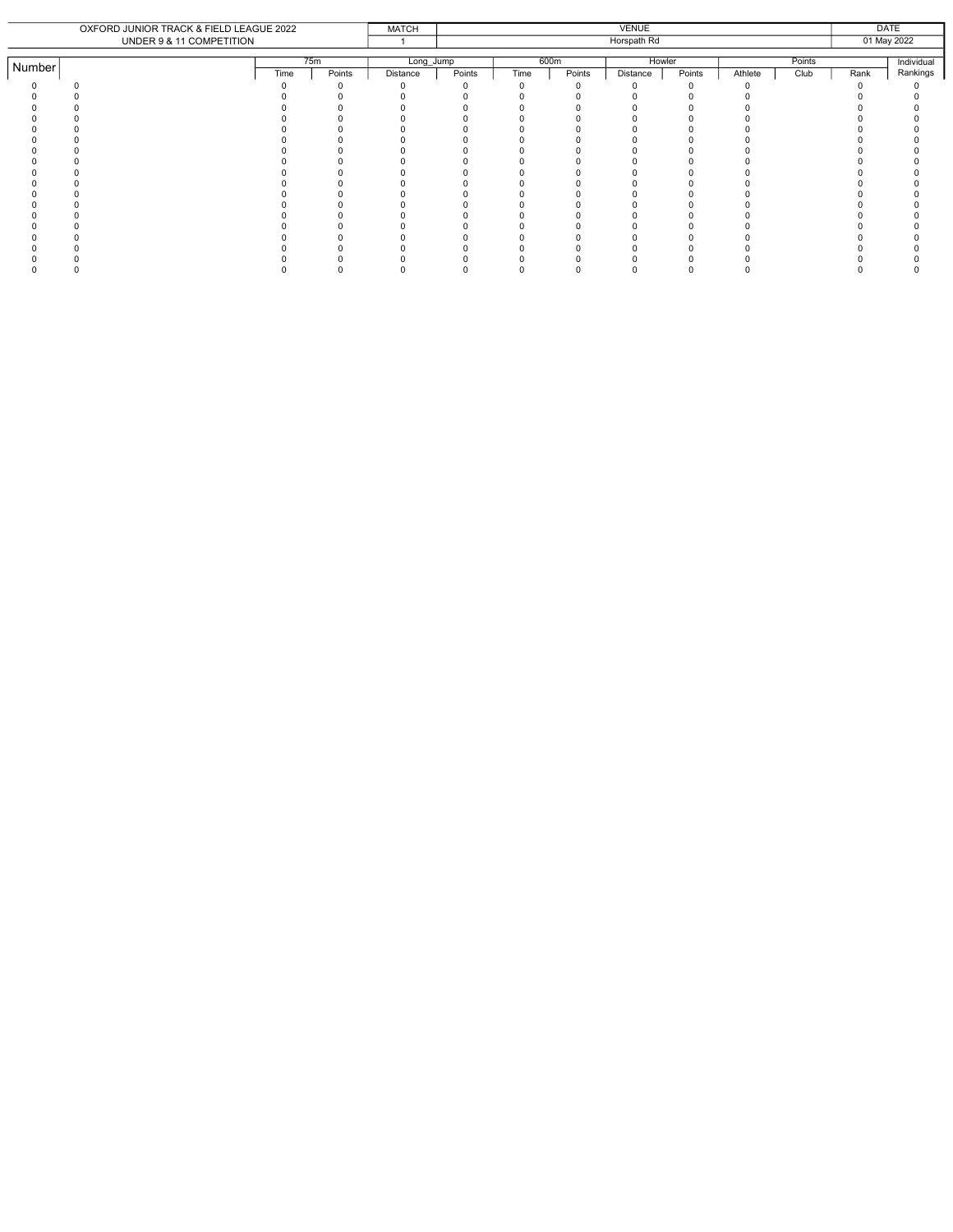|        | OXFORD JUNIOR TRACK & FIELD LEAGUE 2022 |      |        | <b>MATCH</b> |        |      |        | <b>VENUE</b> |        |         |        |      | <b>DATE</b> |
|--------|-----------------------------------------|------|--------|--------------|--------|------|--------|--------------|--------|---------|--------|------|-------------|
|        | UNDER 9 & 11 COMPETITION                |      |        |              |        |      |        | Horspath Rd  |        |         |        |      | 01 May 2022 |
|        |                                         |      |        |              |        |      |        |              |        |         |        |      |             |
| Number |                                         |      | 75m    | Long_Jump    |        | 600m |        | Howler       |        |         | Points |      | Individual  |
|        |                                         | Time | Points | Distance     | Points | Time | Points | Distance     | Points | Athlete | Club   | Rank | Rankings    |
|        |                                         |      |        |              |        |      |        |              |        |         |        |      |             |
|        |                                         |      |        |              |        |      |        |              |        |         |        |      |             |
|        |                                         |      |        |              |        |      |        |              |        |         |        |      |             |
|        |                                         |      |        |              |        |      |        |              |        |         |        |      |             |
|        |                                         |      |        |              |        |      |        |              |        |         |        |      |             |
|        |                                         |      |        |              |        |      |        |              |        |         |        |      |             |
|        |                                         |      |        |              |        |      |        |              |        |         |        |      |             |
|        |                                         |      |        |              |        |      |        |              |        |         |        |      |             |
|        |                                         |      |        |              |        |      |        |              |        |         |        |      |             |
|        |                                         |      |        |              |        |      |        |              |        |         |        |      |             |
|        |                                         |      |        |              |        |      |        |              |        |         |        |      |             |
|        |                                         |      |        |              |        |      |        |              |        |         |        |      |             |
|        |                                         |      |        |              |        |      |        |              |        |         |        |      |             |
|        |                                         |      |        |              |        |      |        |              |        |         |        |      |             |
|        |                                         |      |        |              |        |      |        |              |        |         |        |      |             |
|        |                                         |      |        |              |        |      |        |              |        |         |        |      |             |
|        |                                         |      |        |              |        |      |        |              |        |         |        |      |             |
|        |                                         |      |        |              |        |      |        |              |        |         |        |      |             |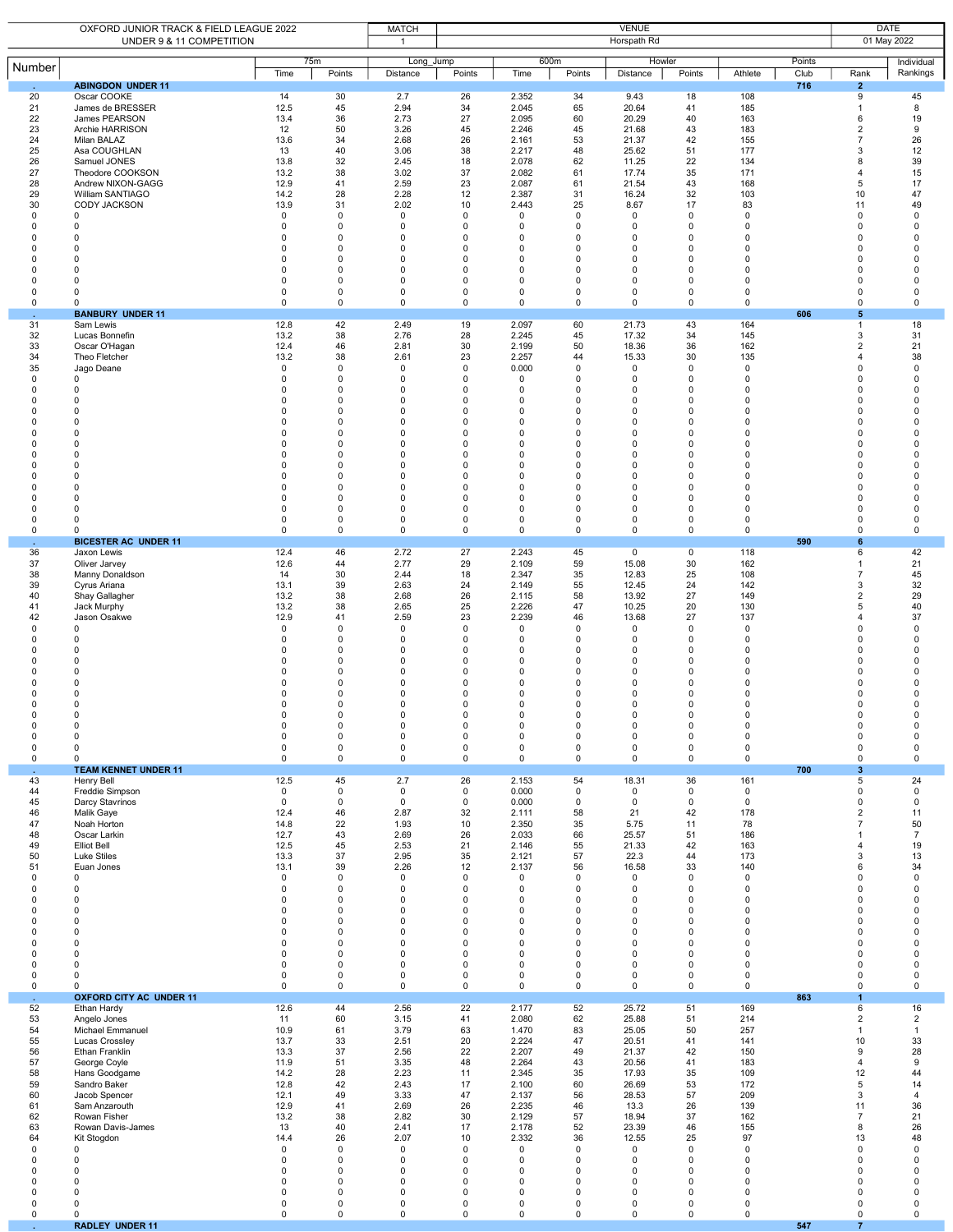|                                                                                                                                                                                | OXFORD JUNIOR TRACK & FIELD LEAGUE 2022<br>UNDER 9 & 11 COMPETITION                                                                                                                                                                                                                                                                          |                                                                                                                                                                                              |                                                                                                                                                                                                                                                                      |                                                                                                                                                                                       |                                                                                                                                                                                                                     | <b>VENUE</b><br>Horspath Rd                                                                                                                              |                                                                                                                                                                                          |                                                                                                                                                                                                                                       |                                                                                                                                                                                                                             |                                                                                                                                                                                    |             |                                                                                                                                                                                                                                                                                                           | <b>DATE</b><br>01 May 2022                                                                                                                                                                                                        |  |  |
|--------------------------------------------------------------------------------------------------------------------------------------------------------------------------------|----------------------------------------------------------------------------------------------------------------------------------------------------------------------------------------------------------------------------------------------------------------------------------------------------------------------------------------------|----------------------------------------------------------------------------------------------------------------------------------------------------------------------------------------------|----------------------------------------------------------------------------------------------------------------------------------------------------------------------------------------------------------------------------------------------------------------------|---------------------------------------------------------------------------------------------------------------------------------------------------------------------------------------|---------------------------------------------------------------------------------------------------------------------------------------------------------------------------------------------------------------------|----------------------------------------------------------------------------------------------------------------------------------------------------------|------------------------------------------------------------------------------------------------------------------------------------------------------------------------------------------|---------------------------------------------------------------------------------------------------------------------------------------------------------------------------------------------------------------------------------------|-----------------------------------------------------------------------------------------------------------------------------------------------------------------------------------------------------------------------------|------------------------------------------------------------------------------------------------------------------------------------------------------------------------------------|-------------|-----------------------------------------------------------------------------------------------------------------------------------------------------------------------------------------------------------------------------------------------------------------------------------------------------------|-----------------------------------------------------------------------------------------------------------------------------------------------------------------------------------------------------------------------------------|--|--|
| Number                                                                                                                                                                         |                                                                                                                                                                                                                                                                                                                                              |                                                                                                                                                                                              | 75m                                                                                                                                                                                                                                                                  | $\mathbf{1}$<br>Long Jump                                                                                                                                                             |                                                                                                                                                                                                                     | 600m                                                                                                                                                     |                                                                                                                                                                                          | Howler                                                                                                                                                                                                                                |                                                                                                                                                                                                                             |                                                                                                                                                                                    | Points      |                                                                                                                                                                                                                                                                                                           | Individual                                                                                                                                                                                                                        |  |  |
|                                                                                                                                                                                | <b>ABINGDON UNDER 11</b>                                                                                                                                                                                                                                                                                                                     | Time                                                                                                                                                                                         | Points                                                                                                                                                                                                                                                               | Distance                                                                                                                                                                              | Points                                                                                                                                                                                                              | Time                                                                                                                                                     | Points                                                                                                                                                                                   | Distance                                                                                                                                                                                                                              | Points                                                                                                                                                                                                                      | Athlete                                                                                                                                                                            | Club<br>716 | Rank<br>$\overline{2}$                                                                                                                                                                                                                                                                                    | Rankings                                                                                                                                                                                                                          |  |  |
| 20<br>21<br>22<br>23<br>24<br>25<br>26<br>27<br>28                                                                                                                             | Oscar COOKE<br>James de BRESSER<br>James PEARSON<br>Archie HARRISON<br>Milan BALAZ<br>Asa COUGHLAN<br>Samuel JONES<br>Theodore COOKSON<br>Andrew NIXON-GAGG                                                                                                                                                                                  | 14<br>12.5<br>13.4<br>12<br>13.6<br>13<br>13.8<br>13.2<br>12.9                                                                                                                               | 30<br>45<br>36<br>50<br>34<br>40<br>32<br>38<br>41                                                                                                                                                                                                                   | 2.7<br>2.94<br>2.73<br>3.26<br>2.68<br>3.06<br>2.45<br>3.02<br>2.59                                                                                                                   | 26<br>34<br>27<br>45<br>26<br>38<br>18<br>37<br>23                                                                                                                                                                  | 2.352<br>2.045<br>2.095<br>2.246<br>2.161<br>2.217<br>2.078<br>2.082<br>2.087                                                                            | 34<br>65<br>60<br>45<br>53<br>48<br>62<br>61<br>61                                                                                                                                       | 9.43<br>20.64<br>20.29<br>21.68<br>21.37<br>25.62<br>11.25<br>17.74<br>21.54                                                                                                                                                          | 18<br>41<br>40<br>43<br>42<br>51<br>22<br>35<br>43                                                                                                                                                                          | 108<br>185<br>163<br>183<br>155<br>177<br>134<br>171<br>168                                                                                                                        |             | $\overline{9}$<br>$\overline{1}$<br>6<br>$\overline{2}$<br>$\overline{7}$<br>3<br>8<br>$\overline{4}$<br>5                                                                                                                                                                                                | 45<br>8<br>19<br>9<br>26<br>12<br>39<br>15<br>17                                                                                                                                                                                  |  |  |
| 29<br>30<br>0<br>$\Omega$<br>$\Omega$<br>$\Omega$<br>$\Omega$<br>0<br>0<br>0                                                                                                   | William SANTIAGO<br><b>CODY JACKSON</b><br>0<br>$\mathbf 0$<br>$\mathbf 0$<br>0<br>$\Omega$<br>$\Omega$<br>0<br>$\Omega$                                                                                                                                                                                                                     | 14.2<br>13.9<br>$\mathbf 0$<br>$\mathbf 0$<br>$\Omega$<br>$\Omega$<br>$\Omega$<br>0<br>0<br>$\mathbf 0$                                                                                      | 28<br>31<br>$\mathbf 0$<br>$\mathbf 0$<br>$\mathbf 0$<br>$\mathbf 0$<br>$\mathbf 0$<br>$\mathbf 0$<br>$\pmb{0}$<br>$\mathbf 0$                                                                                                                                       | 2.28<br>2.02<br>0<br>$\mathbf 0$<br>0<br>$\Omega$<br>$\Omega$<br>0<br>$\pmb{0}$<br>$\mathbf 0$                                                                                        | 12<br>10<br>$\pmb{0}$<br>$\mathbf 0$<br>0<br>$\pmb{0}$<br>$\mathbf 0$<br>$\pmb{0}$<br>$\pmb{0}$<br>$\pmb{0}$                                                                                                        | 2.387<br>2.443<br>0<br>0<br>$\Omega$<br>0<br>$\Omega$<br>0<br>0<br>0                                                                                     | 31<br>25<br>0<br>0<br>0<br>$\mathbf 0$<br>$\Omega$<br>0<br>$\mathsf 0$<br>0                                                                                                              | 16.24<br>8.67<br>0<br>$\mathbf 0$<br>$\mathbf 0$<br>0<br>$\Omega$<br>0<br>0<br>$\mathbf 0$                                                                                                                                            | 32<br>17<br>0<br>$\mathbf 0$<br>$\Omega$<br>0<br>$\Omega$<br>0<br>0<br>$\mathbf 0$                                                                                                                                          | 103<br>83<br>$\mathsf 0$<br>0<br>0<br>0<br>$\Omega$<br>0<br>0<br>0                                                                                                                 |             | 10<br>11<br>$\mathbf 0$<br>$\mathbf 0$<br>$\mathbf 0$<br>$\mathbf 0$<br>$\Omega$<br>$\mathbf 0$<br>$\mathbf 0$<br>$\mathbf 0$                                                                                                                                                                             | 47<br>49<br>0<br>$\mathbf 0$<br>$\Omega$<br>$\Omega$<br>$\Omega$<br>0<br>$\mathbf 0$<br>$\mathbf 0$                                                                                                                               |  |  |
| 0<br>$\sim$                                                                                                                                                                    | $\mathbf 0$<br><b>BANBURY UNDER 11</b>                                                                                                                                                                                                                                                                                                       | 0                                                                                                                                                                                            | $\pmb{0}$                                                                                                                                                                                                                                                            | 0                                                                                                                                                                                     | $\mathsf 0$                                                                                                                                                                                                         | 0                                                                                                                                                        | $\mathbf 0$                                                                                                                                                                              | 0                                                                                                                                                                                                                                     | 0                                                                                                                                                                                                                           | 0                                                                                                                                                                                  | 606         | $\mathbf 0$<br>5                                                                                                                                                                                                                                                                                          | 0                                                                                                                                                                                                                                 |  |  |
| 31<br>32<br>33<br>34<br>35<br>0<br>$\Omega$<br>0<br>0<br>0<br>0<br>$\Omega$<br>$\Omega$<br>0<br>0<br>$\Omega$<br>0<br>0<br>0<br>$\mathsf 0$                                    | Sam Lewis<br>Lucas Bonnefin<br>Oscar O'Hagan<br>Theo Fletcher<br>Jago Deane<br>$\mathsf 0$<br>$\mathbf 0$<br>0<br>$\mathbf 0$<br>$\mathbf 0$<br>$\Omega$<br>0<br>$\Omega$<br>$\Omega$<br>$\mathbf 0$<br>$\Omega$<br>$\Omega$<br>$\mathbf 0$<br>$\Omega$<br>$\mathbf 0$<br><b>BICESTER AC UNDER 11</b>                                        | 12.8<br>13.2<br>12.4<br>13.2<br>0<br>0<br>$\Omega$<br>0<br>0<br>$\Omega$<br>$\Omega$<br>0<br>$\Omega$<br>0<br>0<br>$\Omega$<br>$\Omega$<br>0<br>0<br>$\mathsf 0$                             | 42<br>38<br>46<br>38<br>$\mathbf 0$<br>$\mathbf 0$<br>$\mathbf 0$<br>$\mathbf 0$<br>$\mathbf 0$<br>$\mathbf 0$<br>$\mathbf 0$<br>$\mathbf 0$<br>$\mathbf 0$<br>$\mathbf 0$<br>$\mathbf 0$<br>$\mathbf 0$<br>$\mathbf 0$<br>$\mathbf 0$<br>$\mathbf 0$<br>$\mathbf 0$ | 2.49<br>2.76<br>2.81<br>2.61<br>0<br>$\pmb{0}$<br>0<br>0<br>$\pmb{0}$<br>0<br>$\pmb{0}$<br>0<br>0<br>$\pmb{0}$<br>0<br>0<br>$\mathbf 0$<br>0<br>0<br>$\pmb{0}$                        | 19<br>28<br>30<br>23<br>0<br>$\pmb{0}$<br>$\mathbf 0$<br>$\pmb{0}$<br>$\pmb{0}$<br>0<br>$\pmb{0}$<br>0<br>0<br>$\pmb{0}$<br>0<br>0<br>$\pmb{0}$<br>$\pmb{0}$<br>$\pmb{0}$<br>$\mathsf 0$                            | 2.097<br>2.245<br>2.199<br>2.257<br>0.000<br>0<br>0<br>0<br>0<br>$\Omega$<br>$\Omega$<br>0<br>$\Omega$<br>$\Omega$<br>0<br>$\Omega$<br>0<br>0<br>0<br>0  | 60<br>45<br>50<br>44<br>0<br>$\mathsf 0$<br>$\Omega$<br>0<br>$\mathsf 0$<br>$\Omega$<br>$\mathbf 0$<br>$\mathbf 0$<br>0<br>0<br>0<br>0<br>$\mathbf 0$<br>$\mathbf 0$<br>0<br>$\mathsf 0$ | 21.73<br>17.32<br>18.36<br>15.33<br>0<br>0<br>$\Omega$<br>0<br>$\pmb{0}$<br>$\mathbf 0$<br>$\mathbf 0$<br>$\mathbf 0$<br>$\mathbf 0$<br>$\mathbf 0$<br>$\mathbf 0$<br>$\mathbf 0$<br>$\mathbf 0$<br>$\mathbf 0$<br>0<br>$\pmb{0}$     | 43<br>34<br>36<br>30<br>0<br>0<br>$\Omega$<br>0<br>0<br>$\mathbf 0$<br>$\mathbf 0$<br>$\mathbf 0$<br>$\Omega$<br>$\mathbf 0$<br>$\mathbf 0$<br>$\mathbf 0$<br>$\mathbf 0$<br>$\mathbf 0$<br>0<br>$\mathsf 0$                | 164<br>145<br>162<br>135<br>0<br>0<br>$\Omega$<br>$\Omega$<br>0<br>$\Omega$<br>$\Omega$<br>0<br>0<br>$\Omega$<br>0<br>0<br>$\mathbf 0$<br>0<br>0<br>0                              | 590         | $\overline{1}$<br>3<br>$\overline{2}$<br>$\overline{4}$<br>$\mathbf 0$<br>$\mathbf 0$<br>$\Omega$<br>$\mathbf 0$<br>$\mathbf 0$<br>$\mathbf 0$<br>$\mathbf 0$<br>$\mathbf 0$<br>$\mathbf 0$<br>$\mathbf 0$<br>$\mathbf 0$<br>$\mathbf 0$<br>$\mathbf 0$<br>$\mathbf 0$<br>$\mathbf 0$<br>$\mathbf 0$<br>6 | 18<br>31<br>21<br>38<br>0<br>$\mathbf 0$<br>$\mathbf 0$<br>0<br>$\mathbf 0$<br>$\mathbf 0$<br>$\mathbf 0$<br>$\mathbf 0$<br>$\mathbf 0$<br>$\mathbf 0$<br>$\mathbf 0$<br>$\mathbf 0$<br>$\Omega$<br>$\mathbf 0$<br>0<br>$\pmb{0}$ |  |  |
| 36<br>37<br>38<br>39<br>40<br>41<br>42<br>0<br>$\Omega$<br>$\Omega$<br>$\Omega$<br>$\Omega$<br>0<br>0<br>$\Omega$<br>0<br>0<br>$\pmb{0}$<br>$\pmb{0}$<br>0                     | Jaxon Lewis<br>Oliver Jarvey<br>Manny Donaldson<br>Cyrus Ariana<br>Shay Gallagher<br>Jack Murphy<br>Jason Osakwe<br>$\mathbf 0$<br>0<br>0<br>$\mathbf 0$<br>0<br>$\Omega$<br>$\Omega$<br>$\Omega$<br>$\Omega$<br>0<br>0<br>$\mathsf 0$<br>$\mathbf 0$<br><b>TEAM KENNET UNDER 11</b>                                                         | 12.4<br>12.6<br>14<br>13.1<br>13.2<br>13.2<br>12.9<br>$\mathsf 0$<br>0<br>0<br>$\Omega$<br>$\Omega$<br>$\Omega$<br>$\Omega$<br>$\Omega$<br>$\Omega$<br>0<br>0<br>$\mathsf 0$<br>$\mathbf 0$  | 46<br>44<br>30<br>39<br>38<br>38<br>41<br>$\mathbf 0$<br>$\mathbf 0$<br>$\mathbf 0$<br>$\mathbf 0$<br>$\mathbf 0$<br>$\mathbf 0$<br>$\mathbf 0$<br>$\mathbf 0$<br>$\Omega$<br>$\mathbf 0$<br>$\pmb{0}$<br>$\pmb{0}$<br>0                                             | 2.72<br>2.77<br>2.44<br>2.63<br>2.68<br>2.65<br>2.59<br>$\mathbf 0$<br>$\Omega$<br>0<br>$\mathbf 0$<br>$\Omega$<br>0<br>0<br>$\Omega$<br>$\Omega$<br>0<br>$\pmb{0}$<br>$\pmb{0}$<br>0 | 27<br>29<br>18<br>24<br>26<br>25<br>23<br>$\mathsf 0$<br>0<br>0<br>$\pmb{0}$<br>0<br>$\pmb{0}$<br>0<br>0<br>$\mathbf 0$<br>$\pmb{0}$<br>$\mathsf 0$<br>$\mathsf 0$<br>0                                             | 2.243<br>2.109<br>2.347<br>2.149<br>2.115<br>2.226<br>2.239<br>0<br>0<br>0<br>0<br>$\Omega$<br>$\Omega$<br>$\Omega$<br>0<br>$\Omega$<br>0<br>0<br>0<br>0 | 45<br>59<br>35<br>55<br>58<br>47<br>46<br>$\mathsf 0$<br>0<br>0<br>0<br>0<br>0<br>$\Omega$<br>0<br>$\Omega$<br>$\mathsf 0$<br>0<br>$\mathsf 0$<br>0                                      | $\mathbf 0$<br>15.08<br>12.83<br>12.45<br>13.92<br>10.25<br>13.68<br>$\mathbf 0$<br>0<br>$\mathbf 0$<br>$\mathbf 0$<br>0<br>$\mathbf 0$<br>$\Omega$<br>$\Omega$<br>$\Omega$<br>0<br>0<br>$\pmb{0}$<br>$\mathbf 0$                     | $\overline{0}$<br>30<br>25<br>24<br>27<br>20<br>27<br>$\mathbf 0$<br>$\mathbf 0$<br>0<br>$\mathbf 0$<br>$\mathbf 0$<br>0<br>$\Omega$<br>$\mathbf 0$<br>$\Omega$<br>$\mathsf 0$<br>$\mathsf 0$<br>$\mathsf 0$<br>$\mathbf 0$ | 118<br>162<br>108<br>142<br>149<br>130<br>137<br>0<br>0<br>0<br>0<br>$\Omega$<br>0<br>$\Omega$<br>0<br>$\Omega$<br>0<br>0<br>0<br>0                                                | 700         | 6<br>$\overline{1}$<br>$\overline{7}$<br>3<br>$\overline{2}$<br>5<br>$\overline{4}$<br>$\mathbf 0$<br>$\mathbf 0$<br>$\mathbf 0$<br>$\mathbf 0$<br>$\Omega$<br>$\mathbf 0$<br>$\mathbf 0$<br>$\Omega$<br>$\Omega$<br>$\mathbf 0$<br>$\mathbf 0$<br>$\mathbf 0$<br>$\mathbf 0$<br>$\overline{\mathbf{3}}$  | 42<br>21<br>45<br>32<br>29<br>40<br>37<br>$\mathbf 0$<br>$\mathbf 0$<br>$\mathbf 0$<br>$\mathbf 0$<br>$\mathbf 0$<br>$\Omega$<br>$\Omega$<br>$\Omega$<br>$\Omega$<br>$\mathbf 0$<br>0<br>$\pmb{0}$<br>$\mathbf 0$                 |  |  |
| $\mathcal{L}$<br>43<br>44<br>45<br>46<br>47<br>48<br>49<br>50<br>51<br>$\pmb{0}$<br>0<br>0<br>$\Omega$<br>$\Omega$<br>0<br>0<br>0<br>$\mathsf 0$<br>$\mathbf 0$<br>0<br>$\sim$ | Henry Bell<br>Freddie Simpson<br>Darcy Stavrinos<br>Malik Gaye<br>Noah Horton<br>Oscar Larkin<br><b>Elliot Bell</b><br>Luke Stiles<br>Euan Jones<br>$\mathbf 0$<br>$\mathbf 0$<br>$\mathbf 0$<br>0<br>$\mathbf 0$<br>$\mathbf 0$<br>$\mathbf 0$<br>$\mathbf 0$<br>$\mathbf 0$<br>$\mathbf 0$<br>$^{\circ}$<br><b>OXFORD CITY AC UNDER 11</b> | 12.5<br>$\mathbf{0}$<br>$\mathbf 0$<br>12.4<br>14.8<br>12.7<br>12.5<br>13.3<br>13.1<br>$\mathbf 0$<br>$\mathbf 0$<br>0<br>0<br>0<br>0<br>$\mathbf 0$<br>0<br>$\mathbf 0$<br>$\mathbf 0$<br>0 | 45<br>$\mathbf 0$<br>$\mathbf 0$<br>46<br>22<br>43<br>45<br>37<br>39<br>$\mathbf 0$<br>$\mathbf 0$<br>$\mathbf 0$<br>$\mathbf 0$<br>$\mathbf 0$<br>$\mathbf 0$<br>$\mathbf 0$<br>$\mathbf 0$<br>$\mathbf 0$<br>$\mathbf 0$<br>$\mathbf 0$                            | 2.7<br>$\mathbf 0$<br>$\mathbf 0$<br>2.87<br>1.93<br>2.69<br>2.53<br>2.95<br>2.26<br>$\mathsf 0$<br>0<br>$\mathbf 0$<br>0<br>0<br>$\mathbf 0$<br>0<br>0<br>$\mathbf 0$<br>0<br>0      | 26<br>$\mathsf 0$<br>$\mathbf 0$<br>32<br>10<br>26<br>21<br>35<br>12<br>$\mathsf 0$<br>$\mathbf 0$<br>$\pmb{0}$<br>$\pmb{0}$<br>0<br>$\pmb{0}$<br>$\pmb{0}$<br>$\mathbf 0$<br>$\mathsf 0$<br>$\pmb{0}$<br>$\pmb{0}$ | 2.153<br>0.000<br>0.000<br>2.111<br>2.350<br>2.033<br>2.146<br>2.121<br>2.137<br>0<br>0<br>0<br>0<br>0<br>0<br>0<br>0<br>0<br>0<br>0                     | 54<br>$\mathbf 0$<br>0<br>58<br>35<br>66<br>55<br>57<br>56<br>$\mathsf{O}$<br>0<br>$\mathbf 0$<br>$\mathbf 0$<br>0<br>$\mathbf 0$<br>0<br>0<br>0<br>0<br>0                               | 18.31<br>$\mathbf 0$<br>$\mathbf 0$<br>21<br>5.75<br>25.57<br>21.33<br>22.3<br>16.58<br>$\mathsf 0$<br>$\mathbf 0$<br>$\mathbf 0$<br>$\mathbf 0$<br>$\mathbf 0$<br>$\mathbf 0$<br>$\mathbf 0$<br>$\mathbf 0$<br>$\mathbf 0$<br>0<br>0 | 36<br>$\mathbf 0$<br>$\mathbf 0$<br>42<br>11<br>51<br>42<br>44<br>33<br>$\mathsf 0$<br>$\mathbf 0$<br>$\mathbf 0$<br>$\mathbf 0$<br>$\mathbf 0$<br>$\mathbf 0$<br>$\mathbf 0$<br>$\mathbf 0$<br>$\mathbf 0$<br>0<br>0       | 161<br>$\mathbf 0$<br>$^{\circ}$<br>178<br>78<br>186<br>163<br>173<br>140<br>$\mathbf 0$<br>0<br>$\mathbf 0$<br>0<br>0<br>$\mathbf 0$<br>0<br>$\mathbf 0$<br>$\mathbf 0$<br>0<br>0 | 863         | 5<br>$\mathbf 0$<br>$\Omega$<br>$\overline{2}$<br>$\overline{7}$<br>1<br>$\overline{4}$<br>3<br>6<br>$\mathbf 0$<br>$\mathbf 0$<br>$\mathbf 0$<br>$\mathbf 0$<br>$\mathbf 0$<br>$\mathbf 0$<br>$\mathbf 0$<br>$\mathbf 0$<br>$\mathbf 0$<br>$\mathbf 0$<br>$\mathbf 0$<br>$\overline{1}$                  | 24<br>$\mathbf 0$<br>0<br>11<br>50<br>$\overline{7}$<br>19<br>13<br>34<br>$\pmb{0}$<br>$\mathbf 0$<br>$\mathbf 0$<br>$\mathbf 0$<br>$\mathbf 0$<br>$\pmb{0}$<br>$\mathbf 0$<br>$\mathbf 0$<br>$\mathbf 0$<br>$\pmb{0}$<br>0       |  |  |
| 52<br>53<br>54<br>55<br>56<br>57<br>58<br>59<br>60<br>61<br>62<br>63<br>64<br>0<br>$\Omega$<br>$\Omega$<br>0<br>$\mathbf 0$<br>$\mathbf 0$<br>$\mathsf 0$<br>$\mathcal{L}$     | Ethan Hardy<br>Angelo Jones<br>Michael Emmanuel<br>Lucas Crossley<br>Ethan Franklin<br>George Coyle<br>Hans Goodgame<br>Sandro Baker<br>Jacob Spencer<br>Sam Anzarouth<br>Rowan Fisher<br>Rowan Davis-James<br>Kit Stogdon<br>$\mathbf 0$<br>$\mathbf 0$<br>$\mathbf 0$<br>$\mathbf 0$<br>$\Omega$<br>0<br>0<br><b>RADLEY UNDER 11</b>       | 12.6<br>11<br>10.9<br>13.7<br>13.3<br>11.9<br>14.2<br>12.8<br>12.1<br>12.9<br>13.2<br>13<br>14.4<br>0<br>$\mathbf 0$<br>$\Omega$<br>0<br>$\Omega$<br>0<br>$\mathsf 0$                        | 44<br>60<br>61<br>33<br>37<br>51<br>28<br>42<br>49<br>41<br>38<br>40<br>26<br>$\mathbf 0$<br>$\mathbf 0$<br>$\mathbf 0$<br>$\mathbf 0$<br>$\mathbf 0$<br>$\mathbf 0$<br>$\mathbf 0$                                                                                  | 2.56<br>3.15<br>3.79<br>2.51<br>2.56<br>3.35<br>2.23<br>2.43<br>3.33<br>2.69<br>2.82<br>2.41<br>2.07<br>0<br>$\mathbf 0$<br>0<br>$\Omega$<br>0<br>0<br>$\pmb{0}$                      | 22<br>41<br>63<br>20<br>22<br>48<br>11<br>17<br>47<br>26<br>30<br>17<br>10<br>$\mathsf 0$<br>$\mathbf 0$<br>$\mathbf 0$<br>$\pmb{0}$<br>$\mathbf 0$<br>$\mathsf 0$<br>$\mathsf 0$                                   | 2.177<br>2.080<br>1.470<br>2.224<br>2.207<br>2.264<br>2.345<br>2.100<br>2.137<br>2.235<br>2.129<br>2.178<br>2.332<br>0<br>0<br>0<br>0<br>0<br>0<br>0     | 52<br>62<br>83<br>47<br>49<br>43<br>35<br>60<br>56<br>46<br>57<br>52<br>36<br>$\mathsf{O}$<br>$\mathbf 0$<br>0<br>0<br>$\Omega$<br>0<br>$\mathsf{O}$                                     | 25.72<br>25.88<br>25.05<br>20.51<br>21.37<br>20.56<br>17.93<br>26.69<br>28.53<br>13.3<br>18.94<br>23.39<br>12.55<br>0<br>$\mathbf 0$<br>$\mathbf 0$<br>$\mathbf 0$<br>$\Omega$<br>0<br>$\mathbf 0$                                    | 51<br>51<br>50<br>41<br>42<br>41<br>35<br>53<br>57<br>26<br>37<br>46<br>25<br>0<br>$\mathbf 0$<br>$\mathbf 0$<br>0<br>$\mathbf 0$<br>0<br>$\mathbf 0$                                                                       | 169<br>214<br>257<br>141<br>150<br>183<br>109<br>172<br>209<br>139<br>162<br>155<br>97<br>$\mathsf 0$<br>0<br>0<br>0<br>0<br>0<br>$\mathbf 0$                                      | 547         | 6<br>$\overline{2}$<br>$\overline{1}$<br>10<br>9<br>$\overline{4}$<br>12<br>5<br>3<br>11<br>$\overline{7}$<br>8<br>13<br>$\mathbf 0$<br>$\mathbf 0$<br>$\mathbf 0$<br>$\mathbf 0$<br>$\mathbf 0$<br>$\mathbf 0$<br>$\mathbf 0$<br>$\overline{7}$                                                          | 16<br>$\overline{2}$<br>$\mathbf{1}$<br>33<br>28<br>9<br>44<br>14<br>$\overline{4}$<br>36<br>21<br>26<br>48<br>$\pmb{0}$<br>$\mathbf 0$<br>$\mathbf 0$<br>$\mathbf 0$<br>$\Omega$<br>0<br>$\pmb{0}$                               |  |  |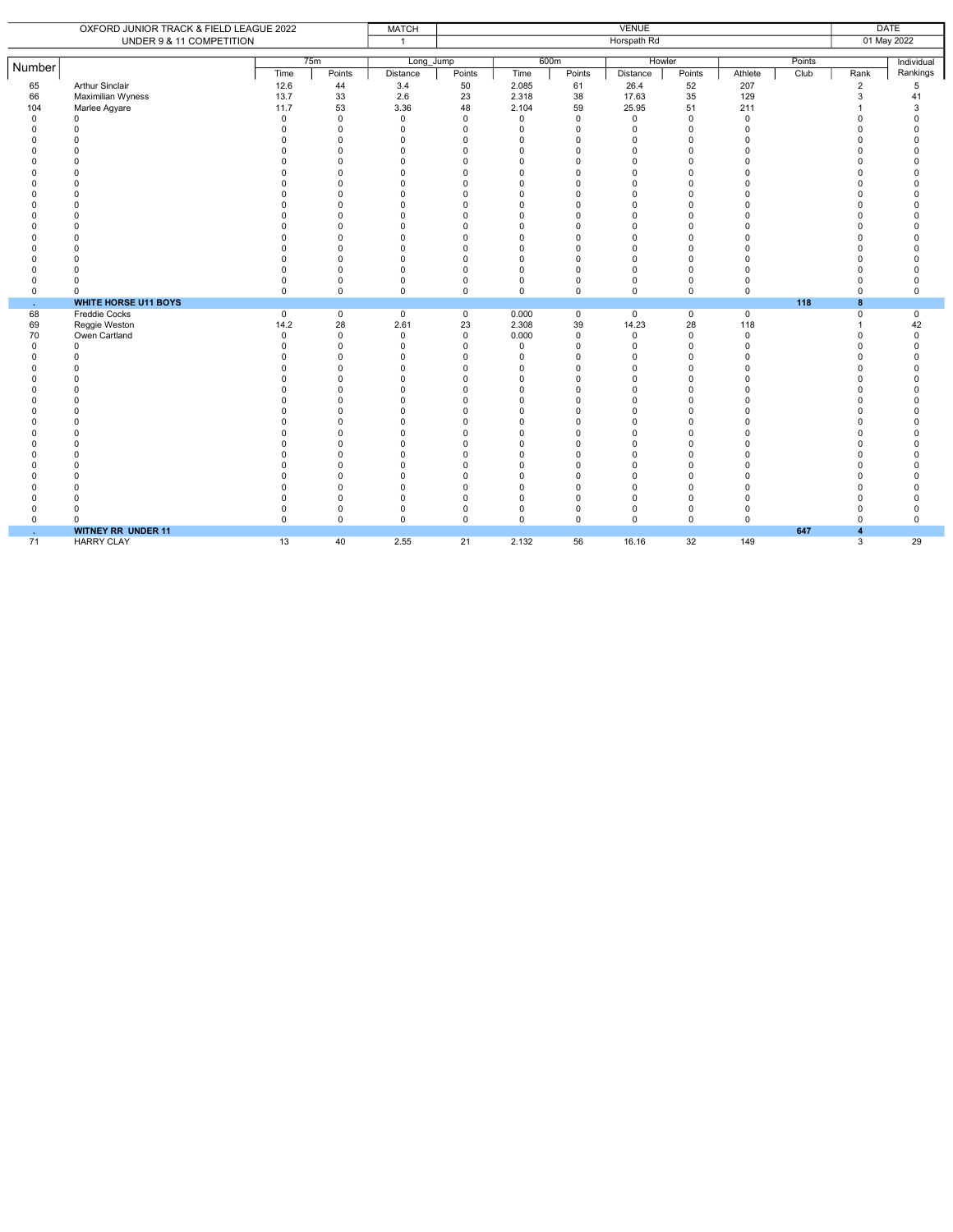|             |                                         |                      |                            |                      |                      |                      |                      |                      |                      |             | <b>DATE</b> |                  |                      |  |
|-------------|-----------------------------------------|----------------------|----------------------------|----------------------|----------------------|----------------------|----------------------|----------------------|----------------------|-------------|-------------|------------------|----------------------|--|
|             | OXFORD JUNIOR TRACK & FIELD LEAGUE 2022 |                      |                            | <b>MATCH</b>         | <b>VENUE</b>         |                      |                      |                      |                      |             |             |                  |                      |  |
|             | UNDER 9 & 11 COMPETITION                |                      |                            | $\mathbf{1}$         |                      |                      |                      | Horspath Rd          |                      |             |             | 01 May 2022      |                      |  |
|             |                                         |                      |                            |                      |                      |                      |                      |                      |                      |             |             |                  |                      |  |
| Number      |                                         |                      | 75m                        | Long Jump            |                      |                      | 600m                 | Howler               |                      |             | Points      |                  | Individual           |  |
|             |                                         | Time                 | Points                     | Distance             | Points               | Time                 | Points               | Distance             | Points               | Athlete     | Club        | Rank             | Rankings             |  |
| 65          | <b>Arthur Sinclair</b>                  | 12.6                 | 44                         | 3.4                  | 50                   | 2.085                | 61                   | 26.4                 | 52                   | 207         |             | $\overline{2}$   | 5                    |  |
| 66          | Maximilian Wyness                       | 13.7                 | 33                         | 2.6                  | 23                   | 2.318                | 38                   | 17.63                | 35                   | 129         |             | 3                | 41                   |  |
| 104         | Marlee Agyare                           | 11.7                 | 53                         | 3.36                 | 48                   | 2.104                | 59                   | 25.95                | 51                   | 211         |             |                  | 3                    |  |
| $\mathbf 0$ | $\Omega$                                | $\Omega$             | $\mathbf 0$                | $\Omega$             | $\Omega$             | $\mathbf 0$          | $\Omega$             | $\Omega$             | $\Omega$             | $\mathbf 0$ |             |                  | $\Omega$             |  |
| $\Omega$    | $\Omega$                                | $\Omega$             | $\mathbf 0$                | $\Omega$             | $\mathbf 0$          | $\Omega$             | $\mathbf 0$          | $\Omega$             | $\Omega$             | 0           |             |                  | $\Omega$             |  |
| $\Omega$    |                                         | $\Omega$             | $\mathbf 0$                | $\Omega$             | $\Omega$             | $\Omega$             | $\Omega$             | $\Omega$             | $\Omega$             | $\Omega$    |             |                  | $\Omega$             |  |
| $\Omega$    | $\Omega$                                | $\Omega$             | $\mathbf 0$                | $\Omega$             | $\Omega$             | $\Omega$             | $\Omega$             | $\Omega$             | $\Omega$             | $\Omega$    |             |                  | $\Omega$             |  |
|             |                                         | $\Omega$             | $\Omega$                   | $\Omega$             | $\Omega$             | $\Omega$             | $\Omega$             | $\Omega$             | $\Omega$             |             |             |                  | $\Omega$             |  |
|             |                                         | $\Omega$             | $\Omega$                   | $\Omega$             | $\Omega$             | $\Omega$             | $\Omega$             | $\Omega$             | $\Omega$             |             |             |                  | $\Omega$             |  |
|             |                                         | $\Omega$             | $\Omega$                   | $\Omega$             | $\Omega$             | $\Omega$             | $\Omega$             | n                    | $\Omega$             |             |             |                  | $\Omega$             |  |
|             |                                         | 0                    | $\Omega$                   | $\Omega$             | $\Omega$             | $\Omega$             | $\Omega$             | $\Omega$             | $\Omega$             |             |             |                  | $\Omega$             |  |
|             |                                         | $\Omega$             | $\Omega$                   | $\Omega$             | $\Omega$             | $\cap$               | $\Omega$             | $\Omega$             | $\Omega$             |             |             |                  | $\Omega$             |  |
|             |                                         | $\Omega$             | $\mathbf 0$                | $\Omega$             | $\Omega$             | $\Omega$             | $\Omega$             | $\Omega$             | $\Omega$             |             |             |                  | O                    |  |
|             |                                         | $\Omega$             | $\Omega$                   | $\Omega$             | $\Omega$             | $\Omega$             | $\Omega$             | $\Omega$             | $\Omega$             |             |             |                  | $\Omega$             |  |
|             |                                         | $\Omega$             | $\Omega$                   | $\Omega$             | $\Omega$             | $\Omega$             | $\Omega$             | $\Omega$             | $\Omega$             | $\Omega$    |             |                  | $\Omega$             |  |
|             | $\Omega$                                | $\Omega$             | $\Omega$                   | $\Omega$             | $\Omega$             | $\Omega$             | $\Omega$             | $\Omega$             | $\Omega$             | $\Omega$    |             |                  | $\Omega$             |  |
| C           |                                         | $\Omega$<br>$\Omega$ | $\Omega$                   | $\Omega$<br>$\Omega$ | $\Omega$<br>$\Omega$ | $\Omega$<br>$\Omega$ | $\Omega$<br>$\Omega$ | $\Omega$<br>$\Omega$ | $\Omega$<br>$\Omega$ | $\Omega$    |             |                  | $\Omega$<br>$\Omega$ |  |
| $\Omega$    |                                         | $\mathbf 0$          | $\mathbf 0$<br>$\mathbf 0$ | $\Omega$             | $\mathbf 0$          | $\mathbf 0$          | $\mathbf 0$          | 0                    | $\mathbf 0$          | $\Omega$    |             | n                | $\Omega$             |  |
| 0           | $\Omega$                                | $\mathbf 0$          | $\mathbf 0$                | $\Omega$             | $\mathbf 0$          | $\mathbf 0$          | $\mathbf 0$          | 0                    | $\mathbf 0$          | 0           |             | $\Omega$         | 0                    |  |
|             | <b>WHITE HORSE U11 BOYS</b>             |                      |                            |                      |                      |                      |                      |                      |                      |             | 118         | 8                |                      |  |
| ×.<br>68    | Freddie Cocks                           | $\mathbf 0$          | $\mathsf 0$                | $\mathbf 0$          | $\mathbf 0$          | 0.000                | $\mathbf 0$          | $\mathbf 0$          | $\mathbf 0$          | $\mathbf 0$ |             | $\mathbf 0$      | $\mathbf 0$          |  |
| 69          | Reggie Weston                           | 14.2                 | 28                         | 2.61                 | 23                   | 2.308                | 39                   | 14.23                | 28                   | 118         |             |                  | 42                   |  |
| 70          | Owen Cartland                           | $\mathbf 0$          | $\mathsf 0$                | $\Omega$             | $\mathbf 0$          | 0.000                | $\mathbf 0$          | $\mathbf 0$          | $\Omega$             | $\mathsf 0$ |             |                  | 0                    |  |
| $\Omega$    | $\Omega$                                | $\Omega$             | $\mathsf 0$                | $\Omega$             | $\Omega$             | $\mathbf 0$          | $\mathbf 0$          | $\Omega$             | $\Omega$             | $\Omega$    |             |                  | $\Omega$             |  |
|             |                                         | $\Omega$             | $\mathbf 0$                | $\Omega$             | $\Omega$             | $\Omega$             | $\Omega$             | U                    | $\Omega$             |             |             |                  | $\Omega$             |  |
|             |                                         | 0                    | $\Omega$                   | $\Omega$             | $\Omega$             | $\Omega$             | $\Omega$             | $\Omega$             | $\Omega$             |             |             |                  | $\Omega$             |  |
|             |                                         | $\Omega$             | $\mathbf 0$                | $\Omega$             | $\Omega$             | $\Omega$             | $\Omega$             | $\Omega$             | $\Omega$             |             |             |                  | $\Omega$             |  |
|             |                                         | $\Omega$             | $\Omega$                   | $\Omega$             | $\Omega$             | $\Omega$             | $\Omega$             | $\Omega$             | $\Omega$             |             |             |                  | $\Omega$             |  |
|             | $\Omega$                                | $\Omega$             | $\Omega$                   | $\Omega$             | $\Omega$             | $\Omega$             | $\Omega$             | $\Omega$             | $\Omega$             | $\Omega$    |             |                  | $\Omega$             |  |
|             |                                         | $\Omega$             | $\Omega$                   | $\Omega$             | $\Omega$             | $\Omega$             | $\Omega$             | $\Omega$             | $\Omega$             |             |             |                  | $\Omega$             |  |
|             | $\Omega$                                | $\Omega$             | $\Omega$                   | $\Omega$             | $\Omega$             | $\Omega$             | $\Omega$             | $\Omega$             | $\Omega$             | $\Omega$    |             |                  | $\Omega$             |  |
|             |                                         | $\Omega$             | $\Omega$                   | $\Omega$             | $\Omega$             | $\Omega$             | $\Omega$             | $\Omega$             | $\Omega$             | $\Omega$    |             |                  | $\Omega$             |  |
|             | $\Omega$                                | $\Omega$             | $\Omega$                   | $\Omega$             | $\Omega$             | $\Omega$             | $\Omega$             | $\Omega$             | $\Omega$             | $\Omega$    |             |                  | $\Omega$             |  |
|             | $\Omega$                                | $\Omega$             | $\Omega$                   | $\Omega$             | $\Omega$             | $\Omega$             | $\Omega$             | $\Omega$             | $\Omega$             | $\Omega$    |             |                  | $\Omega$             |  |
|             | $\Omega$                                | $\Omega$             | $\Omega$                   | $\Omega$             | $\Omega$             | $\Omega$             | $\Omega$             | $\Omega$             | $\Omega$             | $\Omega$    |             |                  | $\Omega$             |  |
|             | n                                       | $\Omega$             | $\mathbf 0$                | $\Omega$             | $\Omega$             | $\Omega$             | $\Omega$             | $\Omega$             | $\Omega$             | $\Omega$    |             |                  | $\Omega$             |  |
| C           | $\Omega$                                | $\Omega$             | $\mathbf 0$                | $\Omega$             | $\Omega$             | $\Omega$             | $\Omega$             | $\Omega$             | $\Omega$             | $\Omega$    |             |                  | $\Omega$             |  |
| U           | n                                       | $\Omega$             | 0                          | $\Omega$             | $\mathbf 0$          | $\Omega$             | $\Omega$             | $\Omega$             | $\Omega$             | $\Omega$    |             |                  | $\Omega$             |  |
| $\Omega$    | $\Omega$                                | 0                    | $\mathsf 0$                | $\mathbf 0$          | $\pmb{0}$            | $\mathbf 0$          | $\mathbf 0$          | 0                    | $\mathbf 0$          | 0           |             | $\Omega$         | 0                    |  |
| $\Omega$    | $\Omega$                                | $\Omega$             | $\mathbf 0$                | $\Omega$             | $\Omega$             | $\Omega$             | $\Omega$             | $\Omega$             | $\Omega$             | $\Omega$    |             | $\Omega$         | $\Omega$             |  |
| ×.          | <b>WITNEY RR UNDER 11</b>               |                      |                            |                      |                      |                      |                      |                      |                      |             | 647         | $\blacktriangle$ |                      |  |
| 71          | <b>HARRY CLAY</b>                       | 13                   | 40                         | 2.55                 | 21                   | 2.132                | 56                   | 16.16                | 32                   | 149         |             | 3                | 29                   |  |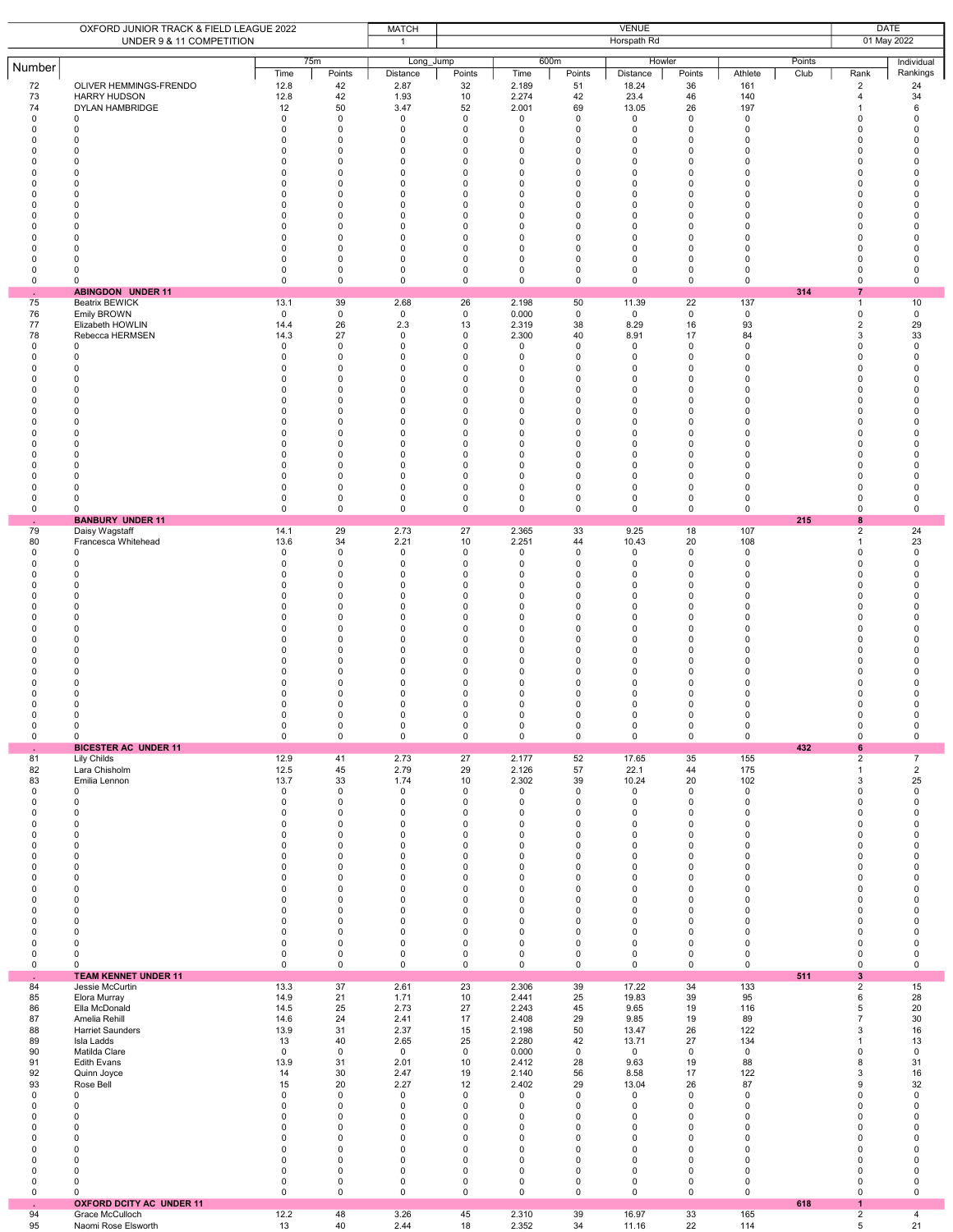|                                                                                                                                                                                                                        | OXFORD JUNIOR TRACK & FIELD LEAGUE 2022<br>UNDER 9 & 11 COMPETITION                                                                                                                                                                                                                                      |                                                                                                                                                                                                                          | <b>VENUE</b><br><b>MATCH</b><br>Horspath Rd<br>$\mathbf{1}$                                                                                                                                                       |                                                                                                                                                                                                   |                                                                                                                                                                         |                                                                                                                                                                                                                                              |                                                                                                                                                                                                                                                           |                                                                                                                                                                                                           |                                                                                                                                                                                                                                                   |                                                                                                                                                        | <b>DATE</b><br>01 May 2022 |                                                                                                                                                                                                                                                      |                                                                                                                                                                      |
|------------------------------------------------------------------------------------------------------------------------------------------------------------------------------------------------------------------------|----------------------------------------------------------------------------------------------------------------------------------------------------------------------------------------------------------------------------------------------------------------------------------------------------------|--------------------------------------------------------------------------------------------------------------------------------------------------------------------------------------------------------------------------|-------------------------------------------------------------------------------------------------------------------------------------------------------------------------------------------------------------------|---------------------------------------------------------------------------------------------------------------------------------------------------------------------------------------------------|-------------------------------------------------------------------------------------------------------------------------------------------------------------------------|----------------------------------------------------------------------------------------------------------------------------------------------------------------------------------------------------------------------------------------------|-----------------------------------------------------------------------------------------------------------------------------------------------------------------------------------------------------------------------------------------------------------|-----------------------------------------------------------------------------------------------------------------------------------------------------------------------------------------------------------|---------------------------------------------------------------------------------------------------------------------------------------------------------------------------------------------------------------------------------------------------|--------------------------------------------------------------------------------------------------------------------------------------------------------|----------------------------|------------------------------------------------------------------------------------------------------------------------------------------------------------------------------------------------------------------------------------------------------|----------------------------------------------------------------------------------------------------------------------------------------------------------------------|
| Number<br>72<br>73<br>74<br>$\mathsf 0$<br>$\Omega$<br>$\Omega$<br>0<br>$\Omega$<br>$\Omega$<br>$\Omega$<br>$\Omega$<br>$\Omega$<br>$\mathbf 0$<br>ŋ<br>$\Omega$<br>$\Omega$<br>$\Omega$<br>$\mathbf 0$<br>$\mathsf 0$ | OLIVER HEMMINGS-FRENDO<br><b>HARRY HUDSON</b><br><b>DYLAN HAMBRIDGE</b><br>$\mathbf 0$<br>$\mathbf 0$<br>$\mathbf 0$<br>0<br>$\Omega$<br>$\Omega$<br>$\Omega$<br>$\Omega$<br>0<br>$\Omega$<br>$\Omega$<br>$\Omega$<br>$\Omega$<br>$\Omega$<br>0<br>0<br><b>ABINGDON UNDER 11</b>                         | Time<br>12.8<br>12.8<br>12<br>$\mathbf 0$<br>0<br>$\Omega$<br>0<br>$\Omega$<br>$\Omega$<br>$\Omega$<br>$\Omega$<br>$\Omega$<br>0<br>$\Omega$<br>$\Omega$<br>0<br>$\Omega$<br>0<br>$\mathsf 0$                            | 75m<br>Points<br>42<br>42<br>50<br>0<br>$\mathbf 0$<br>$\mathbf 0$<br>0<br>$\mathbf 0$<br>0<br>$\mathbf 0$<br>$\mathbf 0$<br>0<br>0<br>$\mathbf 0$<br>$\mathbf 0$<br>$\mathbf 0$<br>$\mathbf 0$<br>0<br>$\pmb{0}$ | Long_Jump<br>Distance<br>2.87<br>1.93<br>3.47<br>0<br>$\mathbf 0$<br>0<br>0<br>$\mathbf 0$<br>0<br>$\Omega$<br>$\Omega$<br>0<br>0<br>$\mathbf 0$<br>0<br>$\Omega$<br>$\Omega$<br>0<br>$\mathsf 0$ | Points<br>32<br>10<br>52<br>0<br>$\Omega$<br>0<br>0<br>$\Omega$<br>0<br>0<br>$\Omega$<br>0<br>$\pmb{0}$<br>0<br>0<br>0<br>0<br>$\pmb{0}$<br>$\mathsf 0$                 | 600m<br>Time<br>2.189<br>2.274<br>2.001<br>0<br>$\Omega$<br>$\mathbf 0$<br>0<br>$\Omega$<br>$\mathbf 0$<br>$\pmb{0}$<br>$\Omega$<br>$\mathbf 0$<br>$\pmb{0}$<br>$\mathbf 0$<br>$\mathbf 0$<br>$\mathbf 0$<br>0<br>$\pmb{0}$<br>0             | Points<br>51<br>42<br>69<br>$\mathbf 0$<br>$\mathbf 0$<br>$\mathbf 0$<br>0<br>$\mathbf 0$<br>$\mathbf 0$<br>$\mathbf 0$<br>$\Omega$<br>0<br>$\pmb{0}$<br>$\mathbf 0$<br>$\mathbf 0$<br>$\mathbf 0$<br>$\mathbf 0$<br>0<br>$\mathbf 0$                     | Howler<br>Distance<br>18.24<br>23.4<br>13.05<br>$\mathbf 0$<br>0<br>0<br>$\pmb{0}$<br>$\mathbf 0$<br>0<br>$\pmb{0}$<br>$\Omega$<br>0<br>$\pmb{0}$<br>0<br>$\mathbf 0$<br>0<br>0<br>$\pmb{0}$<br>$\pmb{0}$ | Points<br>36<br>46<br>26<br>$\mathbf 0$<br>$\Omega$<br>$\mathbf 0$<br>$\mathsf 0$<br>$\Omega$<br>$\mathbf 0$<br>$\mathbf 0$<br>$\Omega$<br>$\mathbf 0$<br>$\pmb{0}$<br>$\mathbf 0$<br>$\mathbf 0$<br>$\mathbf 0$<br>$\mathbf 0$<br>$\pmb{0}$<br>0 | Athlete<br>161<br>140<br>197<br>0<br>0<br>0<br>0<br>$\Omega$<br>0<br>0<br>$\Omega$<br>0<br>0<br>0<br>$\mathbf 0$<br>0<br>0<br>0<br>0                   | Points<br>Club<br>314      | Rank<br>$\overline{2}$<br>$\overline{4}$<br>$\mathbf{1}$<br>0<br>$\Omega$<br>$\Omega$<br>0<br>$\Omega$<br>0<br>$\mathbf 0$<br>$\Omega$<br>0<br>0<br>$\Omega$<br>$\Omega$<br>$\mathbf 0$<br>$\mathbf 0$<br>$\mathbf 0$<br>$\pmb{0}$<br>$\overline{7}$ | Individual<br>Rankings<br>24<br>34<br>6<br>0<br>$\Omega$<br>0<br>0<br>$\Omega$<br>0<br>0<br>$\Omega$<br>0<br>0<br>0<br>0<br>$\Omega$<br>$\Omega$<br>0<br>$\mathsf 0$ |
| 75<br>76<br>77<br>78<br>0<br>0<br>0<br>$\Omega$<br>$\Omega$<br>$\Omega$<br>$\Omega$<br>$\Omega$<br>$\Omega$<br>$\Omega$<br>$\Omega$<br>$\Omega$<br>$\Omega$<br>$\Omega$<br>$\Omega$<br>0                               | <b>Beatrix BEWICK</b><br>Emily BROWN<br>Elizabeth HOWLIN<br>Rebecca HERMSEN<br>0<br>0<br>0<br>$\Omega$<br>$\Omega$<br>$\Omega$<br>$\Omega$<br>$\Omega$<br>$\Omega$<br>$\Omega$<br>$\Omega$<br>$\Omega$<br>$\Omega$<br>0<br><sup>0</sup><br>0                                                             | 13.1<br>$\mathsf 0$<br>14.4<br>14.3<br>0<br>$\mathbf 0$<br>$\Omega$<br>$\Omega$<br>$\Omega$<br>$\Omega$<br>0<br>$\Omega$<br>$\Omega$<br>$\Omega$<br>$\Omega$<br>$\Omega$<br>$\Omega$<br>0<br>$\mathbf 0$<br>$\mathsf 0$  | 39<br>$\mathsf 0$<br>26<br>27<br>0<br>$\mathbf 0$<br>0<br>$\mathbf 0$<br>$\mathbf 0$<br>$\mathbf 0$<br>0<br>0<br>$\mathbf 0$<br>$\mathbf 0$<br>0<br>$\mathbf 0$<br>$\mathbf 0$<br>0<br>0<br>$\mathsf 0$           | 2.68<br>$\mathsf 0$<br>2.3<br>0<br>0<br>$\mathbf 0$<br>0<br>0<br>$\Omega$<br>0<br>0<br>0<br>0<br>$\Omega$<br>$\Omega$<br>$\Omega$<br>0<br>0<br>0<br>$\mathsf 0$                                   | 26<br>$\mathsf 0$<br>13<br>$\pmb{0}$<br>0<br>0<br>0<br>0<br>0<br>0<br>0<br>0<br>$\mathbf 0$<br>0<br>0<br>$\mathbf 0$<br>0<br>0<br>0<br>$\mathsf 0$                      | 2.198<br>0.000<br>2.319<br>2.300<br>$^{\circ}$<br>0<br>0<br>0<br>$\mathbf 0$<br>$\mathbf 0$<br>$\mathbf 0$<br>0<br>$\mathbf 0$<br>$\mathbf 0$<br>$\mathbf 0$<br>$\mathbf 0$<br>0<br>0<br>0<br>0                                              | 50<br>$\mathbf 0$<br>38<br>40<br>0<br>$\mathbf 0$<br>$\mathbf 0$<br>$\mathbf 0$<br>$\mathbf 0$<br>$\mathbf 0$<br>$\mathbf 0$<br>0<br>$\mathbf 0$<br>$\mathbf 0$<br>0<br>$\mathbf 0$<br>$\mathbf 0$<br>$\mathbf 0$<br>$\mathbf 0$<br>$\mathbf 0$           | 11.39<br>$\mathsf 0$<br>8.29<br>8.91<br>0<br>0<br>$\mathbf 0$<br>0<br>0<br>$\mathbf 0$<br>0<br>0<br>$\mathbf 0$<br>0<br>0<br>$\mathbf 0$<br>0<br>0<br>0<br>$\pmb{0}$                                      | 22<br>$\mathbf 0$<br>16<br>17<br>0<br>$\mathbf 0$<br>$\pmb{0}$<br>$\mathbf 0$<br>$\mathbf 0$<br>$\mathbf 0$<br>$\mathbf 0$<br>0<br>$\mathbf 0$<br>$\mathbf 0$<br>$\mathbf 0$<br>$\mathbf 0$<br>$\mathbf 0$<br>0<br>$\mathbf 0$<br>0               | 137<br>$\mathbf 0$<br>93<br>84<br>0<br>0<br>0<br>0<br>0<br>$\mathbf 0$<br>0<br>0<br>$\mathbf 0$<br>0<br>0<br>$\mathbf 0$<br>0<br>0<br>0<br>$\mathbf 0$ |                            | $\mathbf{1}$<br>$\pmb{0}$<br>2<br>3<br>$\mathbf 0$<br>$\mathbf 0$<br>$\mathbf 0$<br>$\mathbf 0$<br>$\mathbf 0$<br>$\mathbf 0$<br>$\mathbf 0$<br>0<br>$\mathbf 0$<br>$\Omega$<br>0<br>$\mathbf 0$<br>$\mathbf 0$<br>$\mathbf 0$<br>$\mathbf 0$<br>0   | 10<br>$\mathbf 0$<br>29<br>33<br>0<br>0<br>0<br>0<br>0<br>0<br>0<br>0<br>0<br>$\Omega$<br>$\Omega$<br>0<br>0<br>0<br>0<br>$\mathbf 0$                                |
| ä,<br>79<br>80<br>0<br>$\Omega$<br>$\Omega$<br>$\Omega$<br>$\Omega$<br>$\Omega$<br>0<br>$\Omega$<br>$\Omega$<br>$\Omega$<br>$\Omega$<br>$\Omega$<br>$\mathbf 0$<br>$\Omega$<br>0<br>$\Omega$<br>0<br>$\mathsf 0$       | <b>BANBURY UNDER 11</b><br>Daisy Wagstaff<br>Francesca Whitehead<br>0<br>0<br>$\Omega$<br>O<br>O<br>$\Omega$<br>$\Omega$<br>$\Omega$<br>$\Omega$<br>$\Omega$<br>$\Omega$<br>$\Omega$<br>$\Omega$<br>$\Omega$<br>0<br>$\Omega$<br>0<br>0                                                                  | 14.1<br>13.6<br>$\mathsf 0$<br>$\mathbf 0$<br>$\Omega$<br>0<br>$\Omega$<br>$\Omega$<br>0<br>$\Omega$<br>$\Omega$<br>$\Omega$<br>$\Omega$<br>$\Omega$<br>$\Omega$<br>$\Omega$<br>$\Omega$<br>$\Omega$<br>0<br>$\mathsf 0$ | 29<br>34<br>0<br>$\mathsf 0$<br>$\mathbf 0$<br>0<br>$\mathbf 0$<br>$\mathbf 0$<br>0<br>$\mathbf 0$<br>0<br>0<br>$\mathbf 0$<br>0<br>0<br>$\Omega$<br>$\mathbf 0$<br>$\Omega$<br>0<br>$\mathsf 0$                  | 2.73<br>2.21<br>0<br>$\mathsf 0$<br>$\Omega$<br>$\Omega$<br>$\mathbf 0$<br>0<br>0<br>$\mathbf 0$<br>0<br>$\Omega$<br>$\Omega$<br>0<br>0<br>0<br>$\Omega$<br>$\Omega$<br>0<br>$\mathsf 0$          | 27<br>10<br>0<br>$\mathbf 0$<br>0<br>0<br>$\Omega$<br>0<br>0<br>$\Omega$<br>0<br>0<br>$\Omega$<br>0<br>0<br>0<br>0<br>$\Omega$<br>0<br>$\mathsf 0$                      | 2.365<br>2.251<br>$\mathbf 0$<br>$\mathbf 0$<br>0<br>0<br>$\Omega$<br>0<br>$\pmb{0}$<br>$\Omega$<br>0<br>0<br>$\Omega$<br>0<br>$\pmb{0}$<br>0<br>0<br>$\Omega$<br>0<br>0                                                                     | 33<br>44<br>0<br>$\mathbf 0$<br>$\mathbf 0$<br>0<br>$\Omega$<br>$\mathbf 0$<br>0<br>$\mathbf 0$<br>$\mathbf 0$<br>$\mathbf 0$<br>$\Omega$<br>0<br>0<br>0<br>$\mathbf 0$<br>$\Omega$<br>0<br>$\mathbf 0$                                                   | 9.25<br>10.43<br>$\mathsf 0$<br>$\mathbf 0$<br>0<br>0<br>$\Omega$<br>0<br>$\pmb{0}$<br>$\mathbf 0$<br>0<br>$\pmb{0}$<br>$\Omega$<br>0<br>$\pmb{0}$<br>0<br>0<br>$\Omega$<br>0<br>$\mathsf 0$              | 18<br>20<br>0<br>$\mathbf 0$<br>$\mathbf 0$<br>$\mathbf 0$<br>$\Omega$<br>$\mathbf 0$<br>0<br>$\Omega$<br>$\mathbf 0$<br>0<br>$\Omega$<br>0<br>$\pmb{0}$<br>$\mathbf 0$<br>$\mathbf 0$<br>$\Omega$<br>0<br>0                                      | 107<br>108<br>$\mathsf 0$<br>$\mathbf 0$<br>0<br>0<br>$\Omega$<br>0<br>0<br>$\Omega$<br>0<br>0<br>0<br>0<br>0<br>0<br>0<br>$\Omega$<br>0<br>0          | 215                        | 8<br>$\overline{2}$<br>$\mathbf{1}$<br>$\Omega$<br>$\mathbf 0$<br>$\mathbf 0$<br>0<br>$\Omega$<br>$\Omega$<br>0<br>$\Omega$<br>$\Omega$<br>0<br>$\Omega$<br>$\Omega$<br>$\mathbf 0$<br>$\Omega$<br>$\mathbf 0$<br>$\Omega$<br>0<br>0                 | 24<br>23<br>$\mathbf 0$<br>$\mathbf 0$<br>0<br>$\Omega$<br>$\Omega$<br>0<br>0<br>$\Omega$<br>0<br>0<br>$\Omega$<br>0<br>0<br>$\Omega$<br>0<br>$\Omega$<br>0<br>0     |
| $\bullet$<br>81<br>82<br>83<br>$\mathbf 0$<br>0<br>0<br>$\Omega$<br>0<br>$\Omega$<br>$\Omega$<br>0<br>0<br>0<br>$\Omega$<br>$\Omega$<br>$\Omega$<br>$\Omega$<br>$\Omega$<br>0<br>0                                     | <b>BICESTER AC UNDER 11</b><br>Lily Childs<br>Lara Chisholm<br>Emilia Lennon<br>0<br>0<br>0<br>$\mathbf 0$<br>$\mathbf 0$<br>$\mathbf 0$<br>$\Omega$<br>$\mathbf 0$<br>$\mathbf 0$<br>0<br>$\mathbf 0$<br>$\Omega$<br>$\Omega$<br>$\mathbf 0$<br>$\mathbf 0$<br>0<br>0                                   | 12.9<br>12.5<br>13.7<br>$\mathbf 0$<br>$\mathsf 0$<br>0<br>$\mathbf 0$<br>$\mathbf 0$<br>0<br>$\Omega$<br>$\Omega$<br>0<br>0<br>$\mathbf 0$<br>$\Omega$<br>0<br>0<br>0<br>0<br>$\mathbf 0$                               | 41<br>45<br>33<br>$\mathbf 0$<br>0<br>0<br>$\mathbf 0$<br>0<br>$\mathbf 0$<br>$\mathbf 0$<br>0<br>0<br>0<br>$\mathbf 0$<br>$\mathbf 0$<br>0<br>$\mathbf 0$<br>$\mathbf 0$<br>0<br>$\mathsf 0$                     | 2.73<br>2.79<br>1.74<br>0<br>0<br>0<br>$\mathbf 0$<br>0<br>$\mathbf 0$<br>$\mathbf 0$<br>0<br>0<br>0<br>$\mathbf 0$<br>$\Omega$<br>0<br>0<br>$\mathbf 0$<br>0<br>$\mathbf 0$                      | 27<br>29<br>10<br>$\mathbf 0$<br>0<br>$\mathbf 0$<br>0<br>$\mathbf 0$<br>0<br>0<br>$\pmb{0}$<br>0<br>0<br>$\mathbf 0$<br>0<br>0<br>$\mathbf 0$<br>0<br>0<br>$\mathbf 0$ | 2.177<br>2.126<br>2.302<br>0<br>0<br>0<br>$\mathbf 0$<br>$\mathbf 0$<br>$\mathbf 0$<br>$\mathbf 0$<br>$\mathbf 0$<br>$\mathbf 0$<br>0<br>$\mathbf 0$<br>$\mathbf 0$<br>$\mathbf 0$<br>$\mathbf 0$<br>$\mathbf 0$<br>$\pmb{0}$<br>$\mathbf 0$ | 52<br>57<br>39<br>$\mathbf 0$<br>$\mathbf 0$<br>$\mathbf 0$<br>$\mathbf 0$<br>$\mathbf 0$<br>$\mathbf 0$<br>$\mathbf 0$<br>$\mathbf 0$<br>$\mathbf 0$<br>0<br>$\mathbf 0$<br>$\mathbf 0$<br>$\mathbf 0$<br>$\mathbf 0$<br>$\mathbf 0$<br>0<br>$\mathbf 0$ | 17.65<br>22.1<br>10.24<br>$\mathbf 0$<br>$\mathbf 0$<br>0<br>0<br>$\mathbf 0$<br>0<br>0<br>$\mathbf 0$<br>$\mathbf 0$<br>0<br>$\mathbf 0$<br>0<br>0<br>$\mathbf 0$<br>0<br>0<br>$\mathbf 0$               | 35<br>44<br>20<br>$^{\circ}$<br>$\mathbf 0$<br>$\mathbf 0$<br>$\mathbf 0$<br>$\mathsf 0$<br>0<br>0<br>$\mathsf 0$<br>0<br>0<br>$\mathbf 0$<br>0<br>0<br>$\mathbf 0$<br>0<br>0<br>$\mathbf 0$                                                      | 155<br>175<br>102<br>$^{\circ}$<br>0<br>0<br>0<br>0<br>0<br>0<br>0<br>0<br>0<br>$\mathbf 0$<br>0<br>0<br>$\mathbf 0$<br>0<br>0<br>$\mathbf 0$          | 432                        | 6<br>$\overline{c}$<br>$\mathbf{1}$<br>3<br>$\mathbf 0$<br>$\mathbf 0$<br>0<br>$\mathbf 0$<br>$\mathbf 0$<br>0<br>0<br>0<br>0<br>0<br>$\mathbf 0$<br>0<br>0<br>0<br>$\mathbf 0$<br>0<br>0                                                            | $\overline{7}$<br>$\overline{2}$<br>25<br>$\mathbf 0$<br>0<br>0<br>0<br>0<br>0<br>0<br>0<br>0<br>0<br>$\mathbf 0$<br>0<br>0<br>$\mathbf 0$<br>0<br>0<br>0            |
| 84<br>85<br>86<br>87<br>88<br>89<br>90<br>91<br>92<br>93<br>$\mathbf 0$<br>0<br>$\mathbf 0$<br>$\Omega$<br>$\Omega$<br>0<br>$\Omega$<br>$\mathbf 0$<br>0<br>$\mathbf 0$<br>÷                                           | <b>TEAM KENNET UNDER 11</b><br>Jessie McCurtin<br>Elora Murray<br>Ella McDonald<br>Amelia Rehill<br>Harriet Saunders<br>Isla Ladds<br>Matilda Clare<br>Edith Evans<br>Quinn Joyce<br>Rose Bell<br>$\Omega$<br>0<br>0<br>$\Omega$<br>0<br>0<br>$\Omega$<br>0<br>0<br>0<br><b>OXFORD DCITY AC UNDER 11</b> | 13.3<br>14.9<br>14.5<br>14.6<br>13.9<br>13<br>$\mathbf 0$<br>13.9<br>14<br>15<br>$\mathbf 0$<br>$\mathbf 0$<br>0<br>$\Omega$<br>$\mathbf 0$<br>0<br>$\mathbf 0$<br>$\mathbf 0$<br>0<br>$\mathbf 0$                       | 37<br>21<br>25<br>24<br>31<br>40<br>0<br>31<br>30<br>20<br>$\mathbf 0$<br>0<br>0<br>$\mathbf 0$<br>0<br>0<br>$\mathbf 0$<br>$\mathbf 0$<br>0<br>$\mathbf 0$                                                       | 2.61<br>1.71<br>2.73<br>2.41<br>2.37<br>2.65<br>$\mathbf 0$<br>2.01<br>2.47<br>2.27<br>$\mathbf 0$<br>0<br>$\mathbf 0$<br>$\mathbf 0$<br>0<br>0<br>$\mathbf 0$<br>0<br>0<br>$\mathbf 0$           | 23<br>10<br>27<br>17<br>15<br>25<br>$\mathsf 0$<br>10<br>19<br>12<br>$\mathbf 0$<br>0<br>$\pmb{0}$<br>$\Omega$<br>0<br>$\mathsf 0$<br>0<br>0<br>0<br>$\mathbf 0$        | 2.306<br>2.441<br>2.243<br>2.408<br>2.198<br>2.280<br>0.000<br>2.412<br>2.140<br>2.402<br>$\mathbf 0$<br>0<br>$\pmb{0}$<br>$\Omega$<br>$\mathbf 0$<br>$\pmb{0}$<br>$\mathbf 0$<br>0<br>0<br>0                                                | 39<br>25<br>45<br>29<br>50<br>42<br>$\mathbf 0$<br>28<br>56<br>29<br>$\mathbf 0$<br>$\mathbf 0$<br>$\mathbf 0$<br>$\Omega$<br>$\mathbf 0$<br>$\pmb{0}$<br>$\mathbf 0$<br>$\mathbf 0$<br>0<br>$\mathbf 0$                                                  | 17.22<br>19.83<br>9.65<br>9.85<br>13.47<br>13.71<br>$\mathbf 0$<br>9.63<br>8.58<br>13.04<br>$\mathbf 0$<br>0<br>$\pmb{0}$<br>$\Omega$<br>0<br>$\pmb{0}$<br>0<br>$\mathbf 0$<br>0<br>$\mathbf 0$           | 34<br>39<br>19<br>19<br>26<br>27<br>0<br>19<br>17<br>26<br>$\mathbf 0$<br>$\mathbf 0$<br>$\mathsf 0$<br>$\Omega$<br>$\mathbf 0$<br>$\mathsf 0$<br>$\mathbf 0$<br>$\mathbf 0$<br>0<br>0                                                            | 133<br>95<br>116<br>89<br>122<br>134<br>$\mathbf 0$<br>88<br>122<br>87<br>$\mathbf 0$<br>0<br>0<br>$\Omega$<br>0<br>0<br>0<br>0<br>0<br>$^{\circ}$     | 511<br>618                 | 3<br>$\overline{2}$<br>6<br>5<br>$\overline{7}$<br>3<br>1<br>$\mathbf 0$<br>8<br>3<br>9<br>$\Omega$<br>$\mathbf 0$<br>$\mathsf 0$<br>$\Omega$<br>$\mathbf 0$<br>$\mathsf 0$<br>$\mathbf 0$<br>$\mathbf 0$<br>0<br>$\mathbf 0$<br>1                   | 15<br>28<br>20<br>30<br>16<br>13<br>$\mathbf 0$<br>31<br>16<br>32<br>$\mathbf 0$<br>0<br>0<br>0<br>0<br>0<br>0<br>0<br>0<br>0                                        |
| 94<br>95                                                                                                                                                                                                               | Grace McCulloch<br>Naomi Rose Elsworth                                                                                                                                                                                                                                                                   | 12.2<br>13                                                                                                                                                                                                               | 48<br>40                                                                                                                                                                                                          | 3.26<br>2.44                                                                                                                                                                                      | 45<br>18                                                                                                                                                                | 2.310<br>2.352                                                                                                                                                                                                                               | 39<br>34                                                                                                                                                                                                                                                  | 16.97<br>11.16                                                                                                                                                                                            | 33<br>22                                                                                                                                                                                                                                          | 165<br>114                                                                                                                                             |                            | $\overline{c}$<br>5                                                                                                                                                                                                                                  | 4<br>21                                                                                                                                                              |